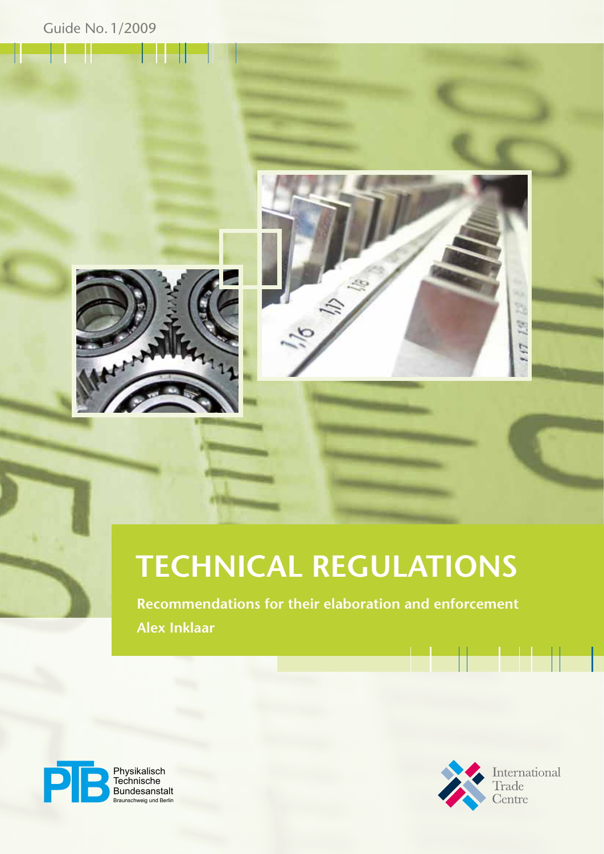



# **Technical Regulations**

**Recommendations for their elaboration and enforcement Alex Inklaar**



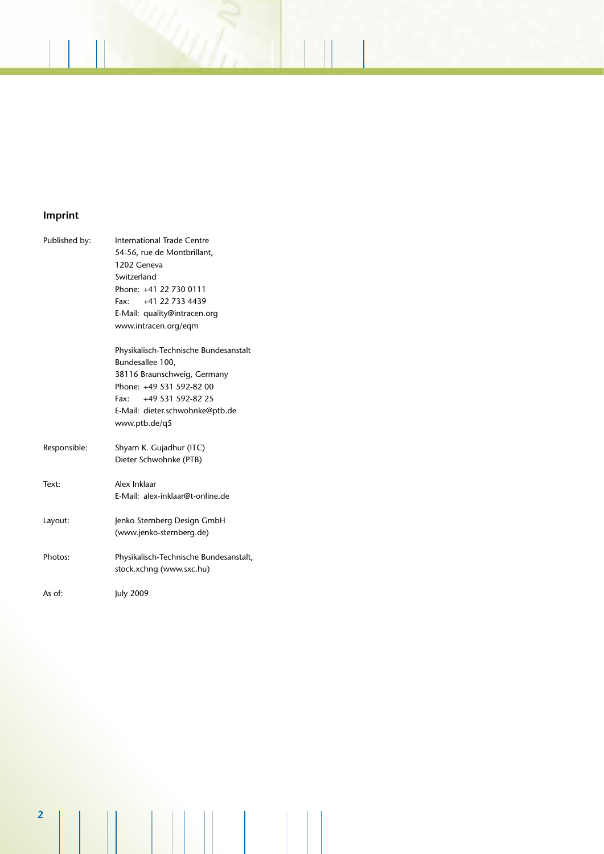### **Imprint**

| Published by: | International Trade Centre                                         |
|---------------|--------------------------------------------------------------------|
|               | 54-56, rue de Montbrillant,                                        |
|               | 1202 Geneva                                                        |
|               | Switzerland                                                        |
|               | Phone: +41 22 730 0111                                             |
|               | Fax: $+41$ 22 733 4439                                             |
|               | E-Mail: quality@intracen.org                                       |
|               | www.intracen.org/eqm                                               |
|               | Physikalisch-Technische Bundesanstalt                              |
|               | Bundesallee 100,                                                   |
|               | 38116 Braunschweig, Germany                                        |
|               | Phone: +49 531 592-82 00                                           |
|               | Fax: +49 531 592-82 25                                             |
|               | E-Mail: dieter.schwohnke@ptb.de                                    |
|               | www.ptb.de/q5                                                      |
| Responsible:  | Shyam K. Gujadhur (ITC)                                            |
|               | Dieter Schwohnke (PTB)                                             |
| Text:         | Alex Inklaar                                                       |
|               | E-Mail: alex-inklaar@t-online.de                                   |
| Layout:       | Jenko Sternberg Design GmbH                                        |
|               | (www.jenko-sternberg.de)                                           |
| Photos:       | Physikalisch-Technische Bundesanstalt,<br>stock.xchng (www.sxc.hu) |
| As of:        | July 2009                                                          |
|               |                                                                    |

**2**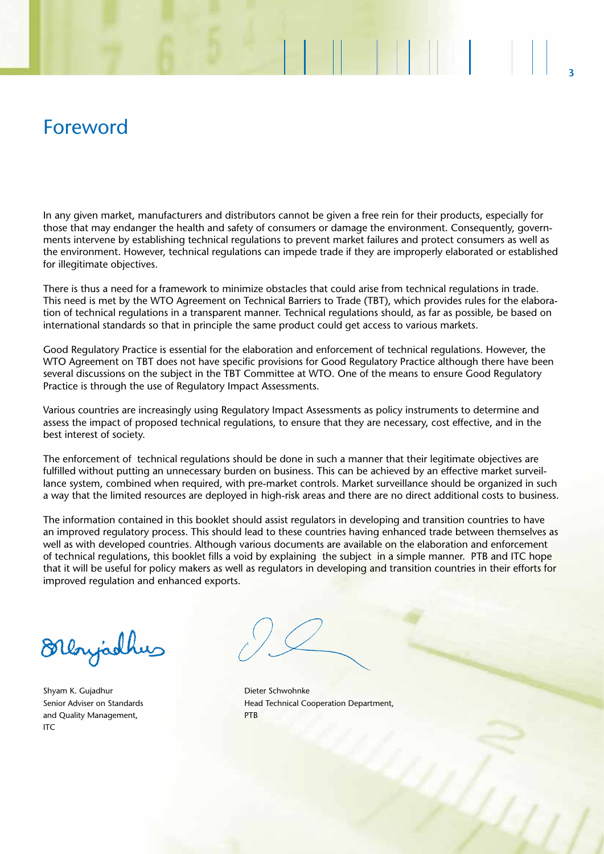## Foreword

In any given market, manufacturers and distributors cannot be given a free rein for their products, especially for those that may endanger the health and safety of consumers or damage the environment. Consequently, governments intervene by establishing technical regulations to prevent market failures and protect consumers as well as the environment. However, technical regulations can impede trade if they are improperly elaborated or established for illegitimate objectives.

There is thus a need for a framework to minimize obstacles that could arise from technical regulations in trade. This need is met by the WTO Agreement on Technical Barriers to Trade (TBT), which provides rules for the elaboration of technical regulations in a transparent manner. Technical regulations should, as far as possible, be based on international standards so that in principle the same product could get access to various markets.

Good Regulatory Practice is essential for the elaboration and enforcement of technical regulations. However, the WTO Agreement on TBT does not have specific provisions for Good Regulatory Practice although there have been several discussions on the subject in the TBT Committee at WTO. One of the means to ensure Good Regulatory Practice is through the use of Regulatory Impact Assessments.

Various countries are increasingly using Regulatory Impact Assessments as policy instruments to determine and assess the impact of proposed technical regulations, to ensure that they are necessary, cost effective, and in the best interest of society.

The enforcement of technical regulations should be done in such a manner that their legitimate objectives are fulfilled without putting an unnecessary burden on business. This can be achieved by an effective market surveillance system, combined when required, with pre-market controls. Market surveillance should be organized in such a way that the limited resources are deployed in high-risk areas and there are no direct additional costs to business.

The information contained in this booklet should assist regulators in developing and transition countries to have an improved regulatory process. This should lead to these countries having enhanced trade between themselves as well as with developed countries. Although various documents are available on the elaboration and enforcement of technical regulations, this booklet fills a void by explaining the subject in a simple manner. PTB and ITC hope that it will be useful for policy makers as well as regulators in developing and transition countries in their efforts for improved regulation and enhanced exports.

Dloyadhy

Shyam K. Gujadhur **Dieter Schwohnke** and Quality Management, The PTB  $ITC$ 

Senior Adviser on Standards **Head Technical Cooperation Department**,

19 March 19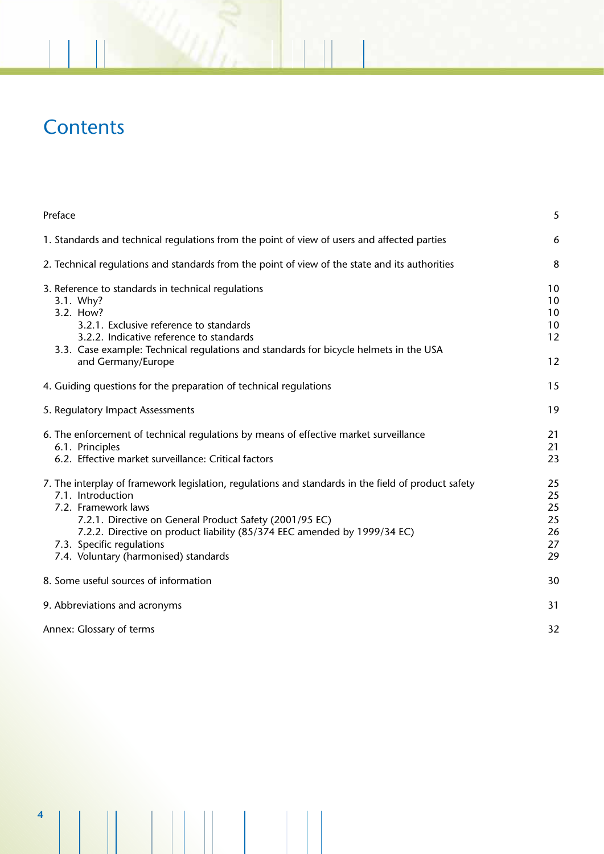# **Contents**

| Preface                                                                                                                                                                                                                                                                                                                                                      | 5                                      |
|--------------------------------------------------------------------------------------------------------------------------------------------------------------------------------------------------------------------------------------------------------------------------------------------------------------------------------------------------------------|----------------------------------------|
| 1. Standards and technical regulations from the point of view of users and affected parties                                                                                                                                                                                                                                                                  | 6                                      |
| 2. Technical regulations and standards from the point of view of the state and its authorities                                                                                                                                                                                                                                                               | 8                                      |
| 3. Reference to standards in technical regulations<br>3.1. Why?<br>3.2. How?<br>3.2.1. Exclusive reference to standards<br>3.2.2. Indicative reference to standards<br>3.3. Case example: Technical regulations and standards for bicycle helmets in the USA<br>and Germany/Europe                                                                           | 10<br>10<br>10<br>10<br>12<br>12       |
| 4. Guiding questions for the preparation of technical regulations                                                                                                                                                                                                                                                                                            | 15                                     |
| 5. Regulatory Impact Assessments                                                                                                                                                                                                                                                                                                                             | 19                                     |
| 6. The enforcement of technical regulations by means of effective market surveillance<br>6.1. Principles<br>6.2. Effective market surveillance: Critical factors                                                                                                                                                                                             | 21<br>21<br>23                         |
| 7. The interplay of framework legislation, regulations and standards in the field of product safety<br>7.1. Introduction<br>7.2. Framework laws<br>7.2.1. Directive on General Product Safety (2001/95 EC)<br>7.2.2. Directive on product liability (85/374 EEC amended by 1999/34 EC)<br>7.3. Specific regulations<br>7.4. Voluntary (harmonised) standards | 25<br>25<br>25<br>25<br>26<br>27<br>29 |
| 8. Some useful sources of information                                                                                                                                                                                                                                                                                                                        | 30                                     |
| 9. Abbreviations and acronyms                                                                                                                                                                                                                                                                                                                                | 31                                     |
| Annex: Glossary of terms                                                                                                                                                                                                                                                                                                                                     | 32                                     |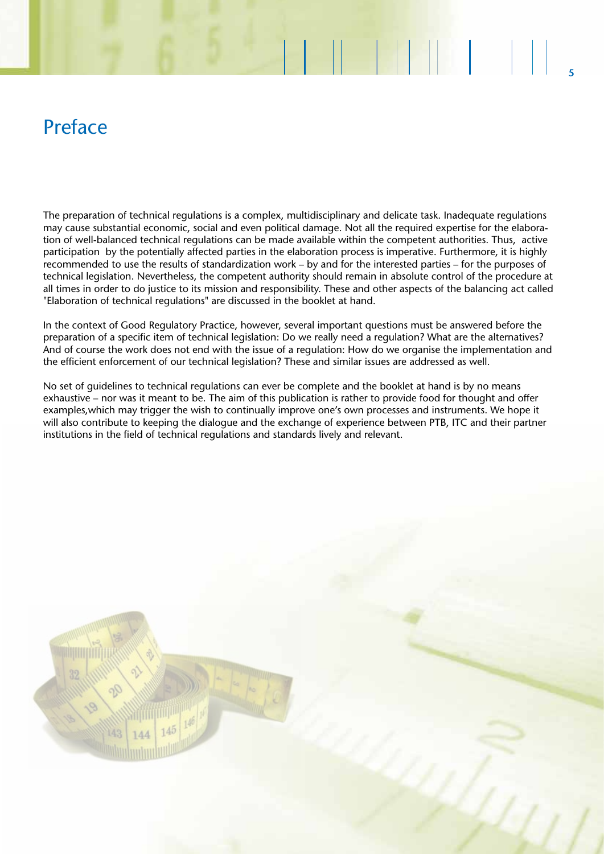## Preface

The preparation of technical regulations is a complex, multidisciplinary and delicate task. Inadequate regulations may cause substantial economic, social and even political damage. Not all the required expertise for the elaboration of well-balanced technical regulations can be made available within the competent authorities. Thus, active participation by the potentially affected parties in the elaboration process is imperative. Furthermore, it is highly recommended to use the results of standardization work – by and for the interested parties – for the purposes of technical legislation. Nevertheless, the competent authority should remain in absolute control of the procedure at all times in order to do justice to its mission and responsibility. These and other aspects of the balancing act called "Elaboration of technical regulations" are discussed in the booklet at hand.

**5**

**ENIMENT** 

In the context of Good Regulatory Practice, however, several important questions must be answered before the preparation of a specific item of technical legislation: Do we really need a regulation? What are the alternatives? And of course the work does not end with the issue of a regulation: How do we organise the implementation and the efficient enforcement of our technical legislation? These and similar issues are addressed as well.

No set of guidelines to technical regulations can ever be complete and the booklet at hand is by no means exhaustive – nor was it meant to be. The aim of this publication is rather to provide food for thought and offer examples,which may trigger the wish to continually improve one's own processes and instruments. We hope it will also contribute to keeping the dialogue and the exchange of experience between PTB, ITC and their partner institutions in the field of technical regulations and standards lively and relevant.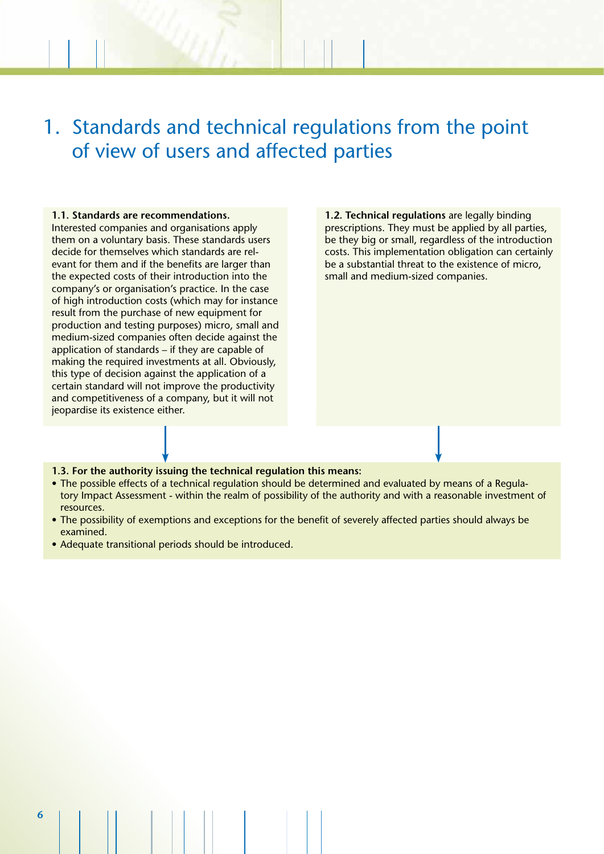# 1. Standards and technical regulations from the point of view of users and affected parties

### **1.1. Standards are recommendations.**

Interested companies and organisations apply them on a voluntary basis. These standards users decide for themselves which standards are relevant for them and if the benefits are larger than the expected costs of their introduction into the company's or organisation's practice. In the case of high introduction costs (which may for instance result from the purchase of new equipment for production and testing purposes) micro, small and medium-sized companies often decide against the application of standards – if they are capable of making the required investments at all. Obviously, this type of decision against the application of a certain standard will not improve the productivity and competitiveness of a company, but it will not jeopardise its existence either.

**1.2. Technical regulations** are legally binding prescriptions. They must be applied by all parties, be they big or small, regardless of the introduction costs. This implementation obligation can certainly be a substantial threat to the existence of micro, small and medium-sized companies.

### **1.3. For the authority issuing the technical regulation this means:**

- The possible effects of a technical regulation should be determined and evaluated by means of a Regulatory Impact Assessment - within the realm of possibility of the authority and with a reasonable investment of resources.
- The possibility of exemptions and exceptions for the benefit of severely affected parties should always be examined.
- Adequate transitional periods should be introduced.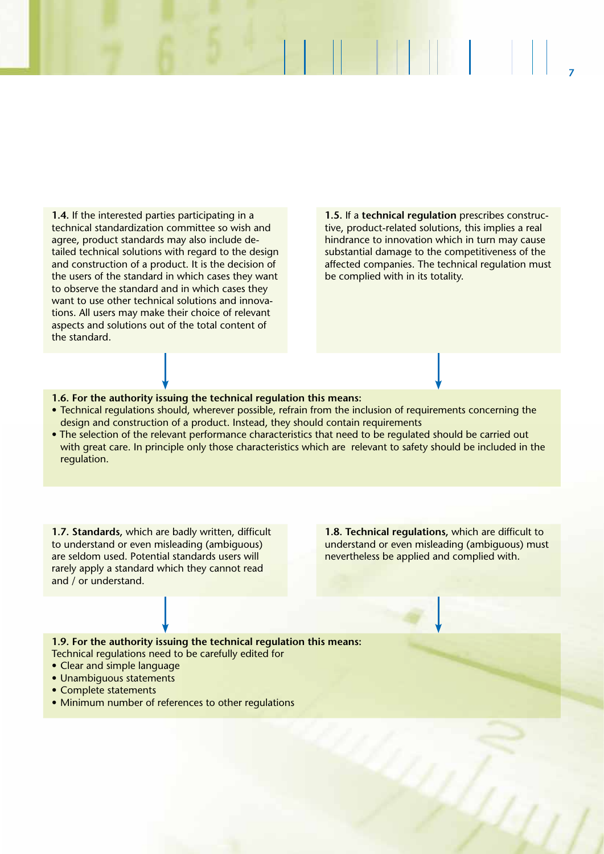**1.4.** If the interested parties participating in a technical standardization committee so wish and agree, product standards may also include detailed technical solutions with regard to the design and construction of a product. It is the decision of the users of the standard in which cases they want to observe the standard and in which cases they want to use other technical solutions and innovations. All users may make their choice of relevant aspects and solutions out of the total content of the standard.

**1.5.** If a **technical regulation** prescribes constructive, product-related solutions, this implies a real hindrance to innovation which in turn may cause substantial damage to the competitiveness of the affected companies. The technical regulation must be complied with in its totality.

**7**

### **1.6. For the authority issuing the technical regulation this means:**

- Technical regulations should, wherever possible, refrain from the inclusion of requirements concerning the design and construction of a product. Instead, they should contain requirements
- The selection of the relevant performance characteristics that need to be regulated should be carried out with great care. In principle only those characteristics which are relevant to safety should be included in the regulation.

**1.7. Standards,** which are badly written, difficult to understand or even misleading (ambiguous) are seldom used. Potential standards users will rarely apply a standard which they cannot read and / or understand.

**1.8. Technical regulations,** which are difficult to understand or even misleading (ambiguous) must nevertheless be applied and complied with.

**1.9. For the authority issuing the technical regulation this means:** Technical regulations need to be carefully edited for

- Clear and simple language
- Unambiguous statements
- Complete statements
- Minimum number of references to other regulations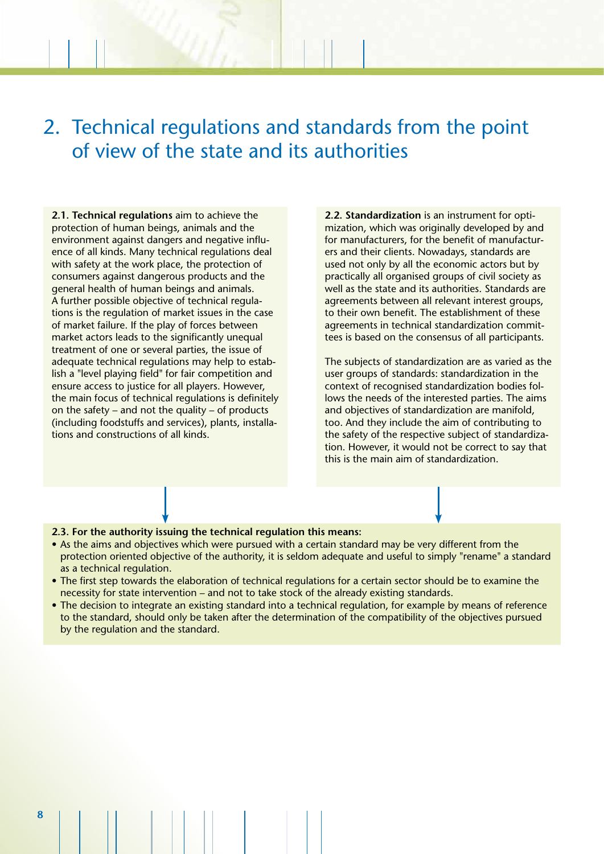# 2. Technical regulations and standards from the point of view of the state and its authorities

**2.1. Technical regulations** aim to achieve the protection of human beings, animals and the environment against dangers and negative influence of all kinds. Many technical regulations deal with safety at the work place, the protection of consumers against dangerous products and the general health of human beings and animals. A further possible objective of technical regulations is the regulation of market issues in the case of market failure. If the play of forces between market actors leads to the significantly unequal treatment of one or several parties, the issue of adequate technical regulations may help to establish a "level playing field" for fair competition and ensure access to justice for all players. However, the main focus of technical regulations is definitely on the safety – and not the quality – of products (including foodstuffs and services), plants, installations and constructions of all kinds.

**2.2. Standardization** is an instrument for optimization, which was originally developed by and for manufacturers, for the benefit of manufacturers and their clients. Nowadays, standards are used not only by all the economic actors but by practically all organised groups of civil society as well as the state and its authorities. Standards are agreements between all relevant interest groups, to their own benefit. The establishment of these agreements in technical standardization committees is based on the consensus of all participants.

The subjects of standardization are as varied as the user groups of standards: standardization in the context of recognised standardization bodies follows the needs of the interested parties. The aims and objectives of standardization are manifold, too. And they include the aim of contributing to the safety of the respective subject of standardization. However, it would not be correct to say that this is the main aim of standardization.

- **2.3. For the authority issuing the technical regulation this means:**
- As the aims and objectives which were pursued with a certain standard may be very different from the protection oriented objective of the authority, it is seldom adequate and useful to simply "rename" a standard as a technical regulation.
- The first step towards the elaboration of technical regulations for a certain sector should be to examine the necessity for state intervention – and not to take stock of the already existing standards.
- The decision to integrate an existing standard into a technical regulation, for example by means of reference to the standard, should only be taken after the determination of the compatibility of the objectives pursued by the regulation and the standard.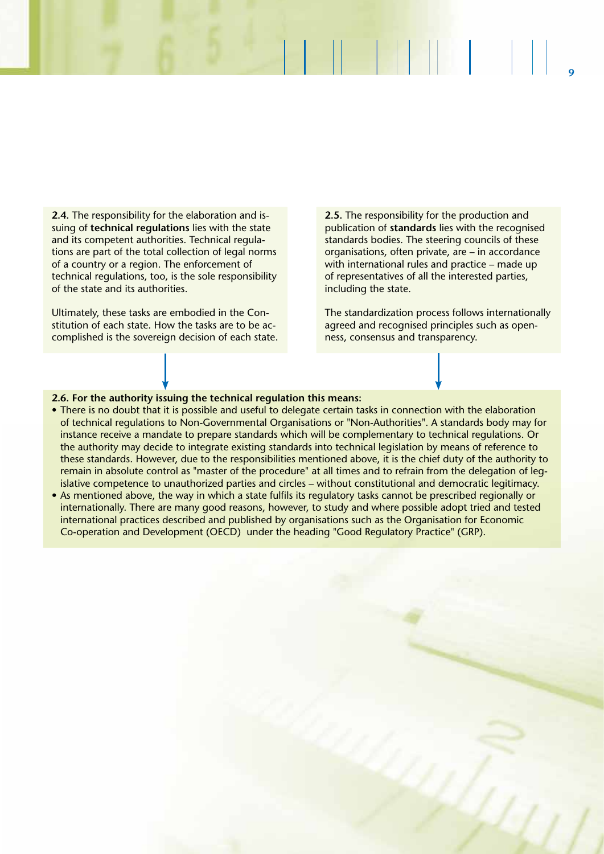**2.4.** The responsibility for the elaboration and issuing of **technical regulations** lies with the state and its competent authorities. Technical regulations are part of the total collection of legal norms of a country or a region. The enforcement of technical regulations, too, is the sole responsibility of the state and its authorities.

Ultimately, these tasks are embodied in the Constitution of each state. How the tasks are to be accomplished is the sovereign decision of each state. **2.5.** The responsibility for the production and publication of **standards** lies with the recognised standards bodies. The steering councils of these organisations, often private, are – in accordance with international rules and practice – made up of representatives of all the interested parties, including the state.

**9**

The standardization process follows internationally agreed and recognised principles such as openness, consensus and transparency.

#### **2.6. For the authority issuing the technical regulation this means:**

- There is no doubt that it is possible and useful to delegate certain tasks in connection with the elaboration of technical regulations to Non-Governmental Organisations or "Non-Authorities". A standards body may for instance receive a mandate to prepare standards which will be complementary to technical regulations. Or the authority may decide to integrate existing standards into technical legislation by means of reference to these standards. However, due to the responsibilities mentioned above, it is the chief duty of the authority to remain in absolute control as "master of the procedure" at all times and to refrain from the delegation of legislative competence to unauthorized parties and circles – without constitutional and democratic legitimacy.
- As mentioned above, the way in which a state fulfils its regulatory tasks cannot be prescribed regionally or internationally. There are many good reasons, however, to study and where possible adopt tried and tested international practices described and published by organisations such as the Organisation for Economic Co-operation and Development (OECD) under the heading "Good Regulatory Practice" (GRP).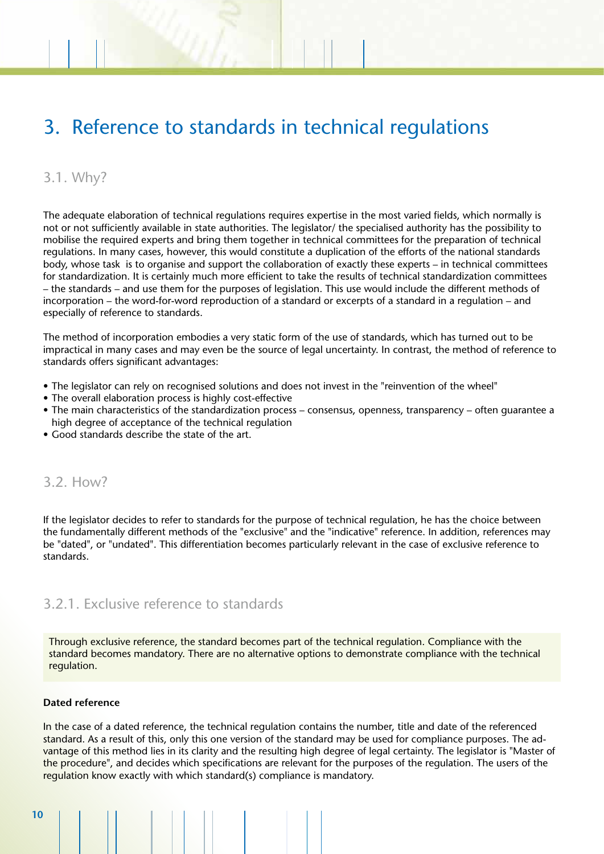# 3. Reference to standards in technical regulations

### 3.1. Why?

The adequate elaboration of technical regulations requires expertise in the most varied fields, which normally is not or not sufficiently available in state authorities. The legislator/ the specialised authority has the possibility to mobilise the required experts and bring them together in technical committees for the preparation of technical regulations. In many cases, however, this would constitute a duplication of the efforts of the national standards body, whose task is to organise and support the collaboration of exactly these experts – in technical committees for standardization. It is certainly much more efficient to take the results of technical standardization committees – the standards – and use them for the purposes of legislation. This use would include the different methods of incorporation – the word-for-word reproduction of a standard or excerpts of a standard in a regulation – and especially of reference to standards.

The method of incorporation embodies a very static form of the use of standards, which has turned out to be impractical in many cases and may even be the source of legal uncertainty. In contrast, the method of reference to standards offers significant advantages:

- The legislator can rely on recognised solutions and does not invest in the "reinvention of the wheel"
- The overall elaboration process is highly cost-effective
- The main characteristics of the standardization process consensus, openness, transparency often guarantee a high degree of acceptance of the technical regulation
- Good standards describe the state of the art.

### 3.2. How?

If the legislator decides to refer to standards for the purpose of technical regulation, he has the choice between the fundamentally different methods of the "exclusive" and the "indicative" reference. In addition, references may be "dated", or "undated". This differentiation becomes particularly relevant in the case of exclusive reference to standards.

### 3.2.1. Exclusive reference to standards

Through exclusive reference, the standard becomes part of the technical regulation. Compliance with the standard becomes mandatory. There are no alternative options to demonstrate compliance with the technical regulation.

### **Dated reference**

In the case of a dated reference, the technical regulation contains the number, title and date of the referenced standard. As a result of this, only this one version of the standard may be used for compliance purposes. The advantage of this method lies in its clarity and the resulting high degree of legal certainty. The legislator is "Master of the procedure", and decides which specifications are relevant for the purposes of the regulation. The users of the regulation know exactly with which standard(s) compliance is mandatory.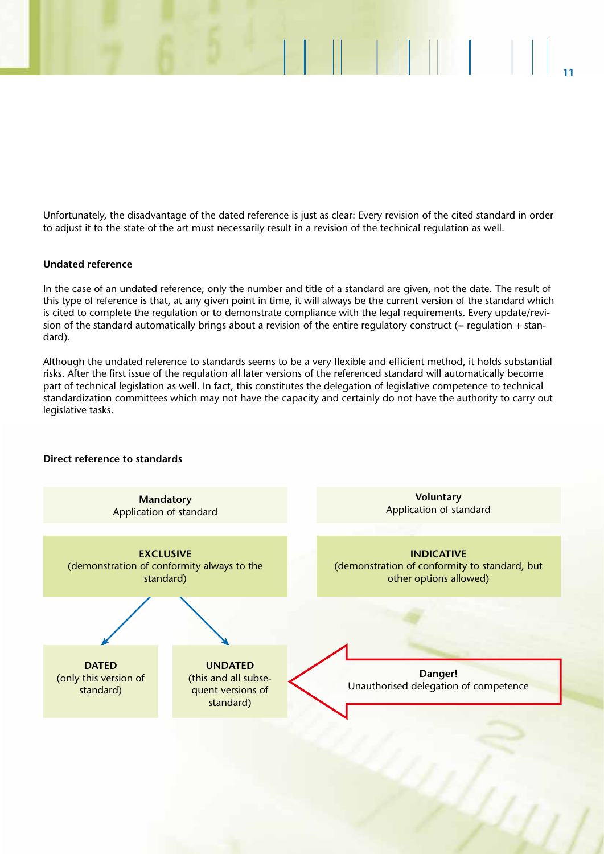Unfortunately, the disadvantage of the dated reference is just as clear: Every revision of the cited standard in order to adjust it to the state of the art must necessarily result in a revision of the technical regulation as well.

**11**

### **Undated reference**

**Direct reference to standards**

In the case of an undated reference, only the number and title of a standard are given, not the date. The result of this type of reference is that, at any given point in time, it will always be the current version of the standard which is cited to complete the regulation or to demonstrate compliance with the legal requirements. Every update/revision of the standard automatically brings about a revision of the entire regulatory construct (= regulation + standard).

Although the undated reference to standards seems to be a very flexible and efficient method, it holds substantial risks. After the first issue of the regulation all later versions of the referenced standard will automatically become part of technical legislation as well. In fact, this constitutes the delegation of legislative competence to technical standardization committees which may not have the capacity and certainly do not have the authority to carry out legislative tasks.

### **Mandatory** Application of standard **EXCLUSIVE** (demonstration of conformity always to the standard) **DATED** (only this version of standard) **INDICATIVE** (demonstration of conformity to standard, but other options allowed) **UNDATED** (this and all subsequent versions of standard) **Voluntary** Application of standard **Danger!** Unauthorised delegation of competence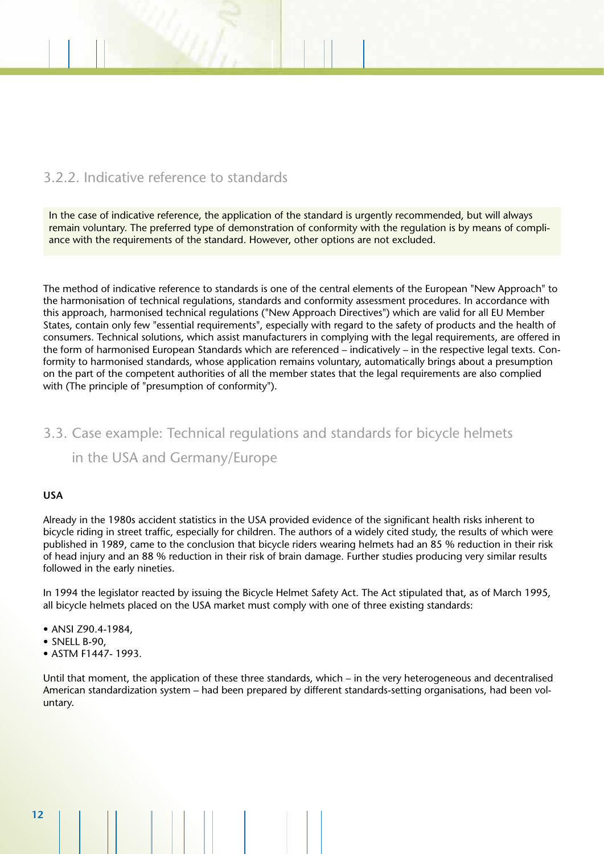### 3.2.2. Indicative reference to standards

In the case of indicative reference, the application of the standard is urgently recommended, but will always remain voluntary. The preferred type of demonstration of conformity with the regulation is by means of compliance with the requirements of the standard. However, other options are not excluded.

The method of indicative reference to standards is one of the central elements of the European "New Approach" to the harmonisation of technical regulations, standards and conformity assessment procedures. In accordance with this approach, harmonised technical regulations ("New Approach Directives") which are valid for all EU Member States, contain only few "essential requirements", especially with regard to the safety of products and the health of consumers. Technical solutions, which assist manufacturers in complying with the legal requirements, are offered in the form of harmonised European Standards which are referenced – indicatively – in the respective legal texts. Conformity to harmonised standards, whose application remains voluntary, automatically brings about a presumption on the part of the competent authorities of all the member states that the legal requirements are also complied with (The principle of "presumption of conformity").

## 3.3. Case example: Technical regulations and standards for bicycle helmets in the USA and Germany/Europe

### **USA**

Already in the 1980s accident statistics in the USA provided evidence of the significant health risks inherent to bicycle riding in street traffic, especially for children. The authors of a widely cited study, the results of which were published in 1989, came to the conclusion that bicycle riders wearing helmets had an 85 % reduction in their risk of head injury and an 88 % reduction in their risk of brain damage. Further studies producing very similar results followed in the early nineties.

In 1994 the legislator reacted by issuing the Bicycle Helmet Safety Act. The Act stipulated that, as of March 1995, all bicycle helmets placed on the USA market must comply with one of three existing standards:

- ANSI Z90.4-1984,
- SNELL B-90.
- ASTM F1447- 1993.

Until that moment, the application of these three standards, which – in the very heterogeneous and decentralised American standardization system – had been prepared by different standards-setting organisations, had been voluntary.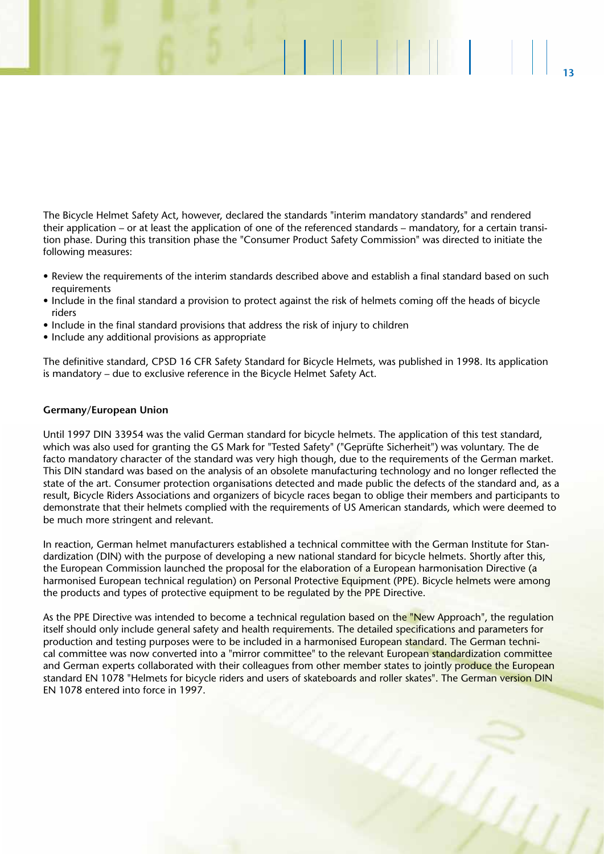The Bicycle Helmet Safety Act, however, declared the standards "interim mandatory standards" and rendered their application – or at least the application of one of the referenced standards – mandatory, for a certain transition phase. During this transition phase the "Consumer Product Safety Commission" was directed to initiate the following measures:

**13**

**ALLEN ANDERS** 

- Review the requirements of the interim standards described above and establish a final standard based on such requirements
- Include in the final standard a provision to protect against the risk of helmets coming off the heads of bicycle riders
- Include in the final standard provisions that address the risk of injury to children
- Include any additional provisions as appropriate

The definitive standard, CPSD 16 CFR Safety Standard for Bicycle Helmets, was published in 1998. Its application is mandatory – due to exclusive reference in the Bicycle Helmet Safety Act.

### **Germany/European Union**

Until 1997 DIN 33954 was the valid German standard for bicycle helmets. The application of this test standard, which was also used for granting the GS Mark for "Tested Safety" ("Geprüfte Sicherheit") was voluntary. The de facto mandatory character of the standard was very high though, due to the requirements of the German market. This DIN standard was based on the analysis of an obsolete manufacturing technology and no longer reflected the state of the art. Consumer protection organisations detected and made public the defects of the standard and, as a result, Bicycle Riders Associations and organizers of bicycle races began to oblige their members and participants to demonstrate that their helmets complied with the requirements of US American standards, which were deemed to be much more stringent and relevant.

In reaction, German helmet manufacturers established a technical committee with the German Institute for Standardization (DIN) with the purpose of developing a new national standard for bicycle helmets. Shortly after this, the European Commission launched the proposal for the elaboration of a European harmonisation Directive (a harmonised European technical regulation) on Personal Protective Equipment (PPE). Bicycle helmets were among the products and types of protective equipment to be regulated by the PPE Directive.

As the PPE Directive was intended to become a technical regulation based on the "New Approach", the regulation itself should only include general safety and health requirements. The detailed specifications and parameters for production and testing purposes were to be included in a harmonised European standard. The German technical committee was now converted into a "mirror committee" to the relevant European standardization committee and German experts collaborated with their colleagues from other member states to jointly produce the European standard EN 1078 "Helmets for bicycle riders and users of skateboards and roller skates". The German version DIN EN 1078 entered into force in 1997.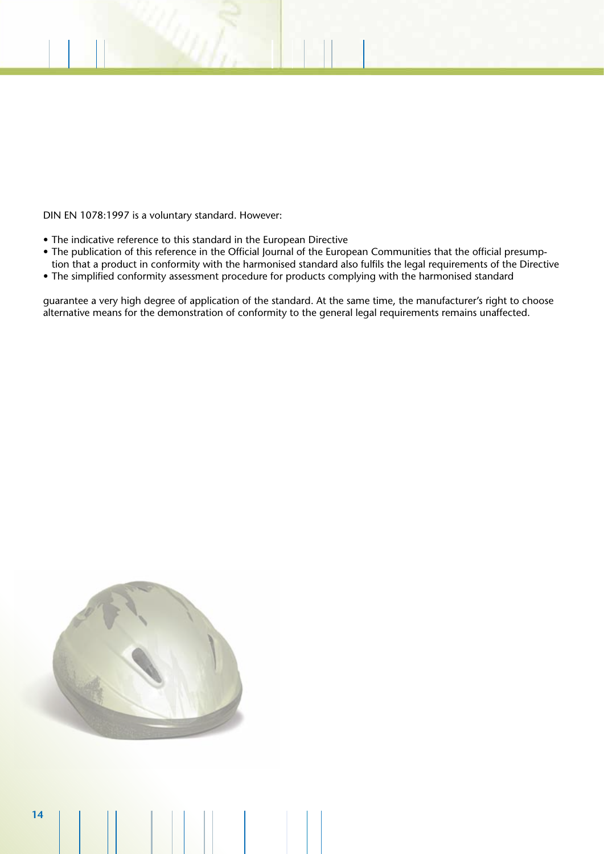DIN EN 1078:1997 is a voluntary standard. However:

- The indicative reference to this standard in the European Directive
- The publication of this reference in the Official Journal of the European Communities that the official presumption that a product in conformity with the harmonised standard also fulfils the legal requirements of the Directive
- The simplified conformity assessment procedure for products complying with the harmonised standard

guarantee a very high degree of application of the standard. At the same time, the manufacturer's right to choose alternative means for the demonstration of conformity to the general legal requirements remains unaffected.

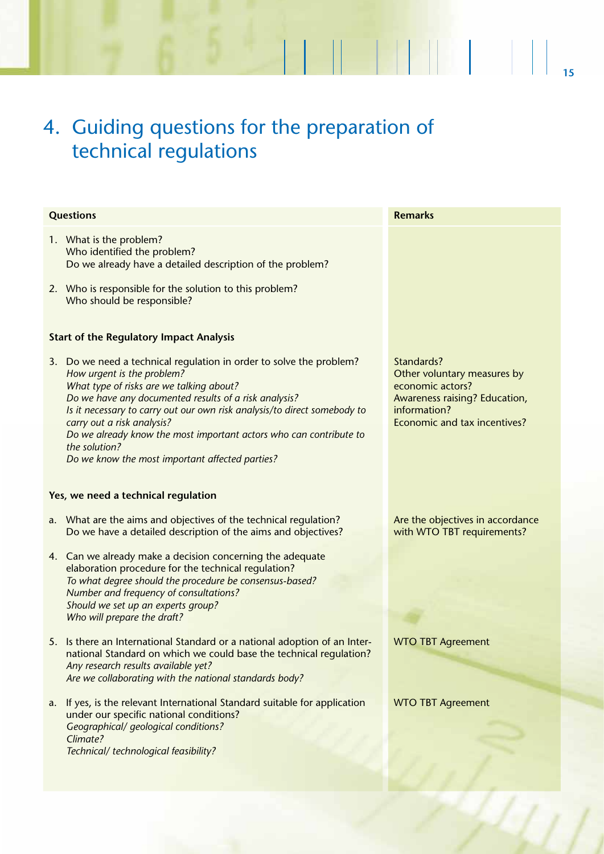# 4. Guiding questions for the preparation of technical regulations

| <b>Questions</b> |                                                                                                                                                                                                                                                                                                                                                                                        | <b>Remarks</b>                                                                                                                                 |
|------------------|----------------------------------------------------------------------------------------------------------------------------------------------------------------------------------------------------------------------------------------------------------------------------------------------------------------------------------------------------------------------------------------|------------------------------------------------------------------------------------------------------------------------------------------------|
|                  | 1. What is the problem?<br>Who identified the problem?<br>Do we already have a detailed description of the problem?                                                                                                                                                                                                                                                                    |                                                                                                                                                |
|                  | 2. Who is responsible for the solution to this problem?<br>Who should be responsible?                                                                                                                                                                                                                                                                                                  |                                                                                                                                                |
|                  | <b>Start of the Regulatory Impact Analysis</b>                                                                                                                                                                                                                                                                                                                                         |                                                                                                                                                |
|                  | 3. Do we need a technical regulation in order to solve the problem?<br>How urgent is the problem?<br>What type of risks are we talking about?<br>Do we have any documented results of a risk analysis?<br>Is it necessary to carry out our own risk analysis/to direct somebody to<br>carry out a risk analysis?<br>Do we already know the most important actors who can contribute to | Standards?<br>Other voluntary measures by<br>economic actors?<br>Awareness raising? Education,<br>information?<br>Economic and tax incentives? |
|                  | the solution?<br>Do we know the most important affected parties?                                                                                                                                                                                                                                                                                                                       |                                                                                                                                                |
|                  | Yes, we need a technical regulation                                                                                                                                                                                                                                                                                                                                                    |                                                                                                                                                |
|                  | a. What are the aims and objectives of the technical regulation?<br>Do we have a detailed description of the aims and objectives?                                                                                                                                                                                                                                                      | Are the objectives in accordance<br>with WTO TBT requirements?                                                                                 |
|                  | 4. Can we already make a decision concerning the adequate<br>elaboration procedure for the technical regulation?<br>To what degree should the procedure be consensus-based?<br>Number and frequency of consultations?<br>Should we set up an experts group?<br>Who will prepare the draft?                                                                                             |                                                                                                                                                |
|                  | 5. Is there an International Standard or a national adoption of an Inter-<br>national Standard on which we could base the technical regulation?<br>Any research results available yet?<br>Are we collaborating with the national standards body?                                                                                                                                       | <b>WTO TBT Agreement</b>                                                                                                                       |
| a.               | If yes, is the relevant International Standard suitable for application<br>under our specific national conditions?<br>Geographical/ geological conditions?<br>Climate?<br>Technical/ technological feasibility?                                                                                                                                                                        | <b>WTO TBT Agreement</b>                                                                                                                       |

 $\mathcal{U}$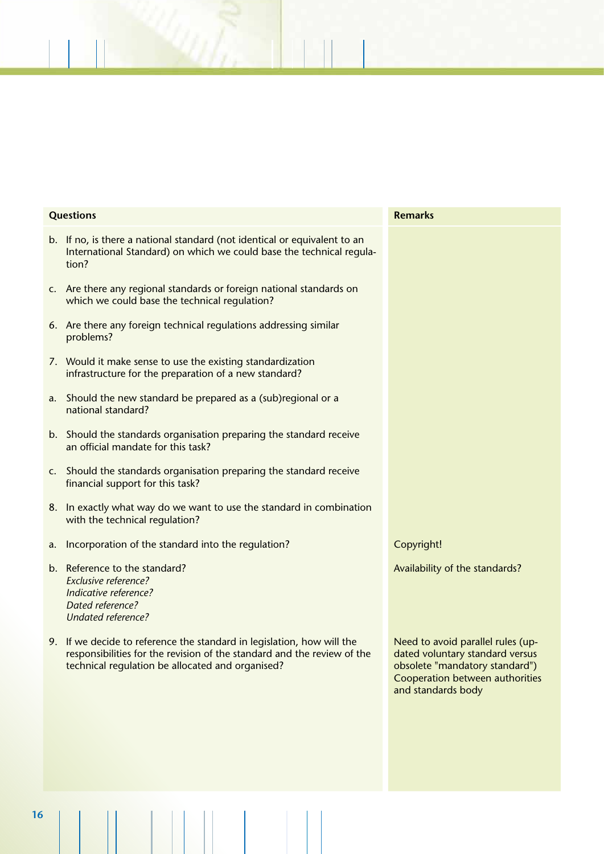| <b>Questions</b> |                                                                                                                                                                                                       | <b>Remarks</b>                                                                                                                                                  |
|------------------|-------------------------------------------------------------------------------------------------------------------------------------------------------------------------------------------------------|-----------------------------------------------------------------------------------------------------------------------------------------------------------------|
|                  | b. If no, is there a national standard (not identical or equivalent to an<br>International Standard) on which we could base the technical regula-<br>tion?                                            |                                                                                                                                                                 |
|                  | c. Are there any regional standards or foreign national standards on<br>which we could base the technical regulation?                                                                                 |                                                                                                                                                                 |
|                  | 6. Are there any foreign technical regulations addressing similar<br>problems?                                                                                                                        |                                                                                                                                                                 |
|                  | 7. Would it make sense to use the existing standardization<br>infrastructure for the preparation of a new standard?                                                                                   |                                                                                                                                                                 |
|                  | a. Should the new standard be prepared as a (sub)regional or a<br>national standard?                                                                                                                  |                                                                                                                                                                 |
|                  | b. Should the standards organisation preparing the standard receive<br>an official mandate for this task?                                                                                             |                                                                                                                                                                 |
|                  | c. Should the standards organisation preparing the standard receive<br>financial support for this task?                                                                                               |                                                                                                                                                                 |
|                  | 8. In exactly what way do we want to use the standard in combination<br>with the technical regulation?                                                                                                |                                                                                                                                                                 |
| a.               | Incorporation of the standard into the regulation?                                                                                                                                                    | Copyright!                                                                                                                                                      |
|                  | b. Reference to the standard?<br><b>Exclusive reference?</b><br>Indicative reference?<br>Dated reference?<br><b>Undated reference?</b>                                                                | Availability of the standards?                                                                                                                                  |
|                  | 9. If we decide to reference the standard in legislation, how will the<br>responsibilities for the revision of the standard and the review of the<br>technical regulation be allocated and organised? | Need to avoid parallel rules (up-<br>dated voluntary standard versus<br>obsolete "mandatory standard")<br>Cooperation between authorities<br>and standards body |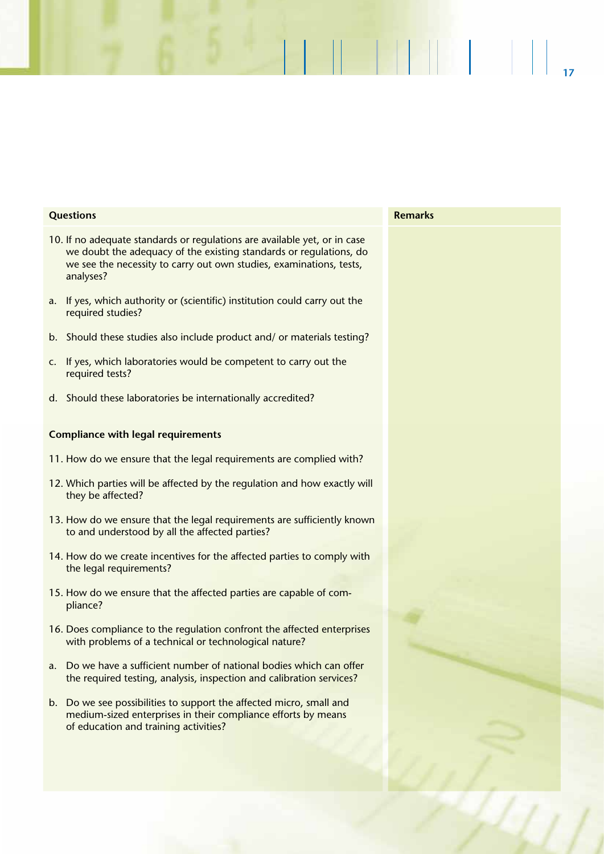| <b>Questions</b>                                                                                                                                                                                                                    | <b>Remarks</b> |
|-------------------------------------------------------------------------------------------------------------------------------------------------------------------------------------------------------------------------------------|----------------|
| 10. If no adequate standards or regulations are available yet, or in case<br>we doubt the adequacy of the existing standards or regulations, do<br>we see the necessity to carry out own studies, examinations, tests,<br>analyses? |                |
| a. If yes, which authority or (scientific) institution could carry out the<br>required studies?                                                                                                                                     |                |
| b. Should these studies also include product and/ or materials testing?                                                                                                                                                             |                |
| c. If yes, which laboratories would be competent to carry out the<br>required tests?                                                                                                                                                |                |
| d. Should these laboratories be internationally accredited?                                                                                                                                                                         |                |
| <b>Compliance with legal requirements</b>                                                                                                                                                                                           |                |
| 11. How do we ensure that the legal requirements are complied with?                                                                                                                                                                 |                |
| 12. Which parties will be affected by the regulation and how exactly will<br>they be affected?                                                                                                                                      |                |
| 13. How do we ensure that the legal requirements are sufficiently known<br>to and understood by all the affected parties?                                                                                                           |                |
| 14. How do we create incentives for the affected parties to comply with<br>the legal requirements?                                                                                                                                  |                |
| 15. How do we ensure that the affected parties are capable of com-<br>pliance?                                                                                                                                                      |                |
| 16. Does compliance to the regulation confront the affected enterprises<br>with problems of a technical or technological nature?                                                                                                    |                |
| a. Do we have a sufficient number of national bodies which can offer<br>the required testing, analysis, inspection and calibration services?                                                                                        |                |
| b. Do we see possibilities to support the affected micro, small and<br>medium-sized enterprises in their compliance efforts by means<br>of education and training activities?                                                       |                |
|                                                                                                                                                                                                                                     |                |
|                                                                                                                                                                                                                                     |                |

**17**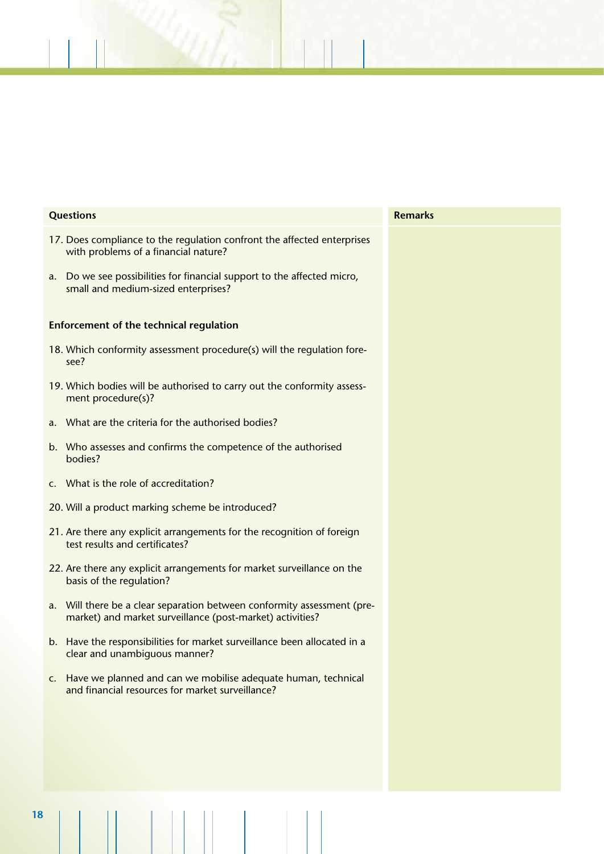| <b>Questions</b>                                                                                                                        | <b>Remarks</b> |
|-----------------------------------------------------------------------------------------------------------------------------------------|----------------|
| 17. Does compliance to the regulation confront the affected enterprises<br>with problems of a financial nature?                         |                |
| Do we see possibilities for financial support to the affected micro,<br>a.<br>small and medium-sized enterprises?                       |                |
| <b>Enforcement of the technical regulation</b>                                                                                          |                |
| 18. Which conformity assessment procedure(s) will the regulation fore-<br>see?                                                          |                |
| 19. Which bodies will be authorised to carry out the conformity assess-<br>ment procedure(s)?                                           |                |
| What are the criteria for the authorised bodies?<br>a.                                                                                  |                |
| Who assesses and confirms the competence of the authorised<br>b.<br>bodies?                                                             |                |
| c. What is the role of accreditation?                                                                                                   |                |
| 20. Will a product marking scheme be introduced?                                                                                        |                |
| 21. Are there any explicit arrangements for the recognition of foreign<br>test results and certificates?                                |                |
| 22. Are there any explicit arrangements for market surveillance on the<br>basis of the regulation?                                      |                |
| Will there be a clear separation between conformity assessment (pre-<br>a.<br>market) and market surveillance (post-market) activities? |                |
| b. Have the responsibilities for market surveillance been allocated in a<br>clear and unambiguous manner?                               |                |
| c. Have we planned and can we mobilise adequate human, technical<br>and financial resources for market surveillance?                    |                |
|                                                                                                                                         |                |
|                                                                                                                                         |                |
|                                                                                                                                         |                |
|                                                                                                                                         |                |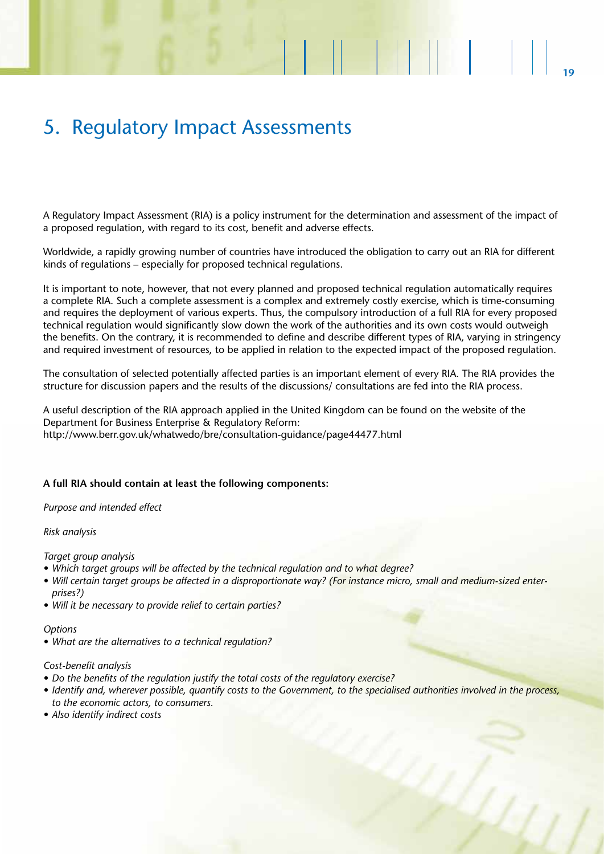# 5. Regulatory Impact Assessments

A Regulatory Impact Assessment (RIA) is a policy instrument for the determination and assessment of the impact of a proposed regulation, with regard to its cost, benefit and adverse effects.

Worldwide, a rapidly growing number of countries have introduced the obligation to carry out an RIA for different kinds of regulations – especially for proposed technical regulations.

It is important to note, however, that not every planned and proposed technical regulation automatically requires a complete RIA. Such a complete assessment is a complex and extremely costly exercise, which is time-consuming and requires the deployment of various experts. Thus, the compulsory introduction of a full RIA for every proposed technical regulation would significantly slow down the work of the authorities and its own costs would outweigh the benefits. On the contrary, it is recommended to define and describe different types of RIA, varying in stringency and required investment of resources, to be applied in relation to the expected impact of the proposed regulation.

The consultation of selected potentially affected parties is an important element of every RIA. The RIA provides the structure for discussion papers and the results of the discussions/ consultations are fed into the RIA process.

A useful description of the RIA approach applied in the United Kingdom can be found on the website of the Department for Business Enterprise & Regulatory Reform: http://www.berr.gov.uk/whatwedo/bre/consultation-guidance/page44477.html

### **A full RIA should contain at least the following components:**

### *Purpose and intended effect*

#### *Risk analysis*

*Target group analysis* 

- *• Which target groups will be affected by the technical regulation and to what degree?*
- *• Will certain target groups be affected in a disproportionate way? (For instance micro, small and medium-sized enterprises?)*
- *• Will it be necessary to provide relief to certain parties?*

#### *Options*

*• What are the alternatives to a technical regulation?*

#### *Cost-benefit analysis*

- *• Do the benefits of the regulation justify the total costs of the regulatory exercise?*
- *• Identify and, wherever possible, quantify costs to the Government, to the specialised authorities involved in the process, to the economic actors, to consumers.*
- *• Also identify indirect costs*

M I L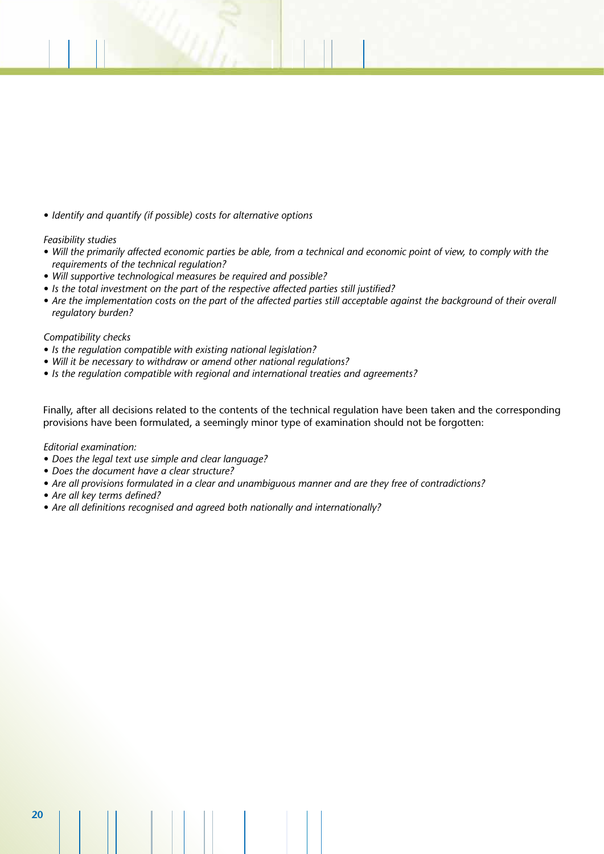*• Identify and quantify (if possible) costs for alternative options*

### *Feasibility studies*

- *• Will the primarily affected economic parties be able, from a technical and economic point of view, to comply with the requirements of the technical regulation?*
- *• Will supportive technological measures be required and possible?*
- *• Is the total investment on the part of the respective affected parties still justified?*
- Are the implementation costs on the part of the affected parties still acceptable against the background of their overall *regulatory burden?*

### *Compatibility checks*

- *• Is the regulation compatible with existing national legislation?*
- *• Will it be necessary to withdraw or amend other national regulations?*
- *• Is the regulation compatible with regional and international treaties and agreements?*

Finally, after all decisions related to the contents of the technical regulation have been taken and the corresponding provisions have been formulated, a seemingly minor type of examination should not be forgotten:

*Editorial examination:*

- *• Does the legal text use simple and clear language?*
- *• Does the document have a clear structure?*
- *• Are all provisions formulated in a clear and unambiguous manner and are they free of contradictions?*
- *• Are all key terms defined?*
- *• Are all definitions recognised and agreed both nationally and internationally?*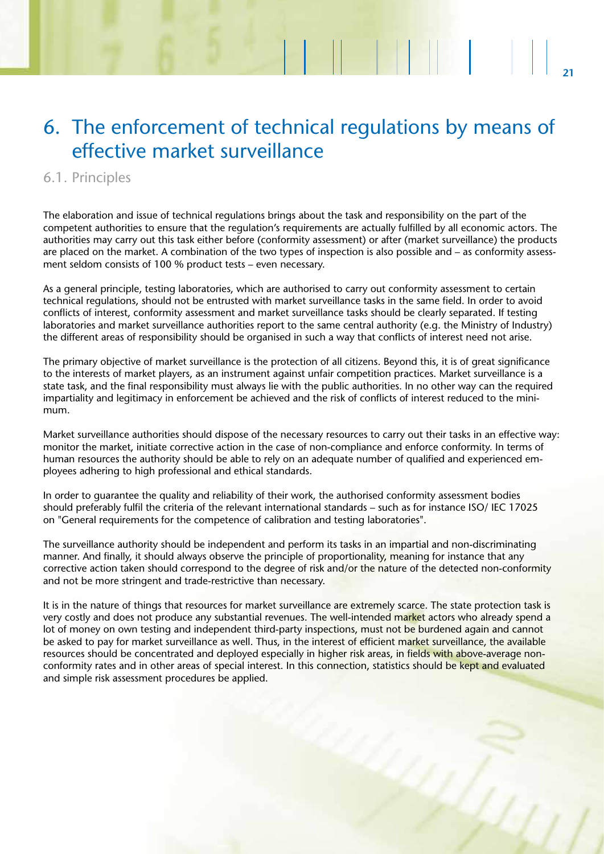# 6. The enforcement of technical regulations by means of effective market surveillance

**21**

MH 1

### 6.1. Principles

The elaboration and issue of technical regulations brings about the task and responsibility on the part of the competent authorities to ensure that the regulation's requirements are actually fulfilled by all economic actors. The authorities may carry out this task either before (conformity assessment) or after (market surveillance) the products are placed on the market. A combination of the two types of inspection is also possible and – as conformity assessment seldom consists of 100 % product tests – even necessary.

As a general principle, testing laboratories, which are authorised to carry out conformity assessment to certain technical regulations, should not be entrusted with market surveillance tasks in the same field. In order to avoid conflicts of interest, conformity assessment and market surveillance tasks should be clearly separated. If testing laboratories and market surveillance authorities report to the same central authority (e.g. the Ministry of Industry) the different areas of responsibility should be organised in such a way that conflicts of interest need not arise.

The primary objective of market surveillance is the protection of all citizens. Beyond this, it is of great significance to the interests of market players, as an instrument against unfair competition practices. Market surveillance is a state task, and the final responsibility must always lie with the public authorities. In no other way can the required impartiality and legitimacy in enforcement be achieved and the risk of conflicts of interest reduced to the minimum.

Market surveillance authorities should dispose of the necessary resources to carry out their tasks in an effective way: monitor the market, initiate corrective action in the case of non-compliance and enforce conformity. In terms of human resources the authority should be able to rely on an adequate number of qualified and experienced employees adhering to high professional and ethical standards.

In order to guarantee the quality and reliability of their work, the authorised conformity assessment bodies should preferably fulfil the criteria of the relevant international standards – such as for instance ISO/ IEC 17025 on "General requirements for the competence of calibration and testing laboratories".

The surveillance authority should be independent and perform its tasks in an impartial and non-discriminating manner. And finally, it should always observe the principle of proportionality, meaning for instance that any corrective action taken should correspond to the degree of risk and/or the nature of the detected non-conformity and not be more stringent and trade-restrictive than necessary.

It is in the nature of things that resources for market surveillance are extremely scarce. The state protection task is very costly and does not produce any substantial revenues. The well-intended market actors who already spend a lot of money on own testing and independent third-party inspections, must not be burdened again and cannot be asked to pay for market surveillance as well. Thus, in the interest of efficient market surveillance, the available resources should be concentrated and deployed especially in higher risk areas, in fields with above-average nonconformity rates and in other areas of special interest. In this connection, statistics should be kept and evaluated and simple risk assessment procedures be applied.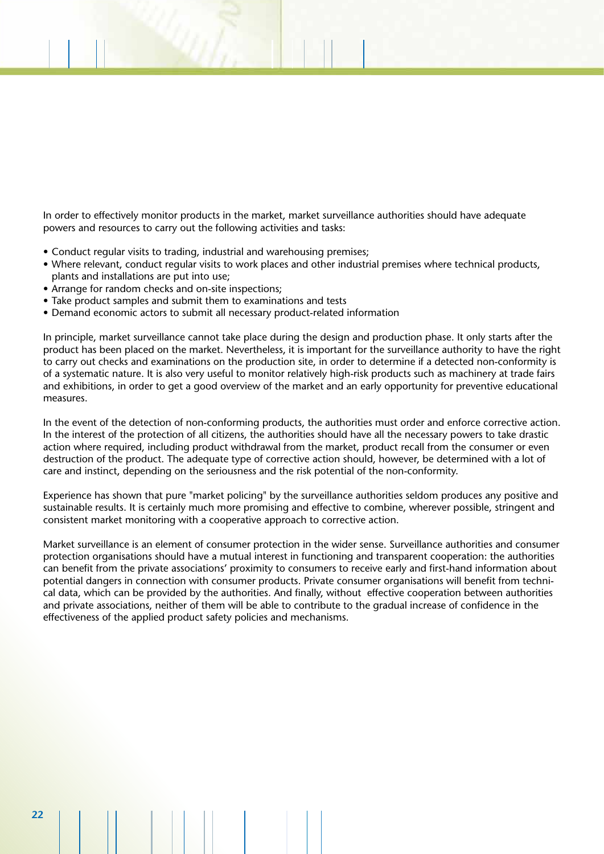In order to effectively monitor products in the market, market surveillance authorities should have adequate powers and resources to carry out the following activities and tasks:

- Conduct regular visits to trading, industrial and warehousing premises;
- Where relevant, conduct regular visits to work places and other industrial premises where technical products, plants and installations are put into use;
- Arrange for random checks and on-site inspections;
- Take product samples and submit them to examinations and tests
- Demand economic actors to submit all necessary product-related information

In principle, market surveillance cannot take place during the design and production phase. It only starts after the product has been placed on the market. Nevertheless, it is important for the surveillance authority to have the right to carry out checks and examinations on the production site, in order to determine if a detected non-conformity is of a systematic nature. It is also very useful to monitor relatively high-risk products such as machinery at trade fairs and exhibitions, in order to get a good overview of the market and an early opportunity for preventive educational measures.

In the event of the detection of non-conforming products, the authorities must order and enforce corrective action. In the interest of the protection of all citizens, the authorities should have all the necessary powers to take drastic action where required, including product withdrawal from the market, product recall from the consumer or even destruction of the product. The adequate type of corrective action should, however, be determined with a lot of care and instinct, depending on the seriousness and the risk potential of the non-conformity.

Experience has shown that pure "market policing" by the surveillance authorities seldom produces any positive and sustainable results. It is certainly much more promising and effective to combine, wherever possible, stringent and consistent market monitoring with a cooperative approach to corrective action.

Market surveillance is an element of consumer protection in the wider sense. Surveillance authorities and consumer protection organisations should have a mutual interest in functioning and transparent cooperation: the authorities can benefit from the private associations' proximity to consumers to receive early and first-hand information about potential dangers in connection with consumer products. Private consumer organisations will benefit from technical data, which can be provided by the authorities. And finally, without effective cooperation between authorities and private associations, neither of them will be able to contribute to the gradual increase of confidence in the effectiveness of the applied product safety policies and mechanisms.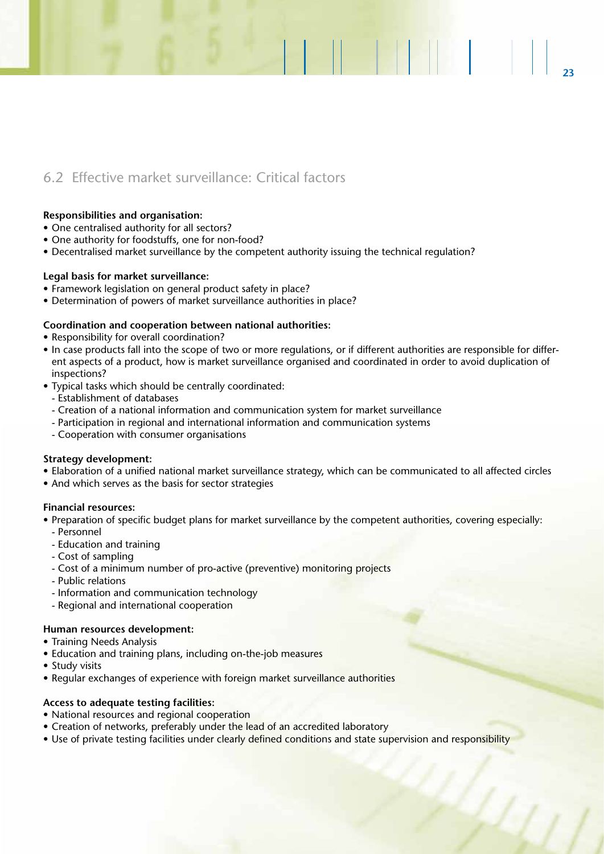### 6.2 Effective market surveillance: Critical factors

### **Responsibilities and organisation:**

- One centralised authority for all sectors?
- One authority for foodstuffs, one for non-food?
- Decentralised market surveillance by the competent authority issuing the technical regulation?

### **Legal basis for market surveillance:**

- Framework legislation on general product safety in place?
- Determination of powers of market surveillance authorities in place?

### **Coordination and cooperation between national authorities:**

- Responsibility for overall coordination?
- In case products fall into the scope of two or more regulations, or if different authorities are responsible for different aspects of a product, how is market surveillance organised and coordinated in order to avoid duplication of inspections?

**23**

**1713 - 18** 

- Typical tasks which should be centrally coordinated:
	- Establishment of databases
	- Creation of a national information and communication system for market surveillance
	- Participation in regional and international information and communication systems
	- Cooperation with consumer organisations

### **Strategy development:**

- Elaboration of a unified national market surveillance strategy, which can be communicated to all affected circles
- And which serves as the basis for sector strategies

### **Financial resources:**

- Preparation of specific budget plans for market surveillance by the competent authorities, covering especially: - Personnel
	- Education and training
	- Cost of sampling
	- Cost of a minimum number of pro-active (preventive) monitoring projects
	- Public relations
	- Information and communication technology
	- Regional and international cooperation

### **Human resources development:**

- Training Needs Analysis
- Education and training plans, including on-the-job measures
- Study visits
- Regular exchanges of experience with foreign market surveillance authorities

### **Access to adequate testing facilities:**

- National resources and regional cooperation
- Creation of networks, preferably under the lead of an accredited laboratory
- Use of private testing facilities under clearly defined conditions and state supervision and responsibility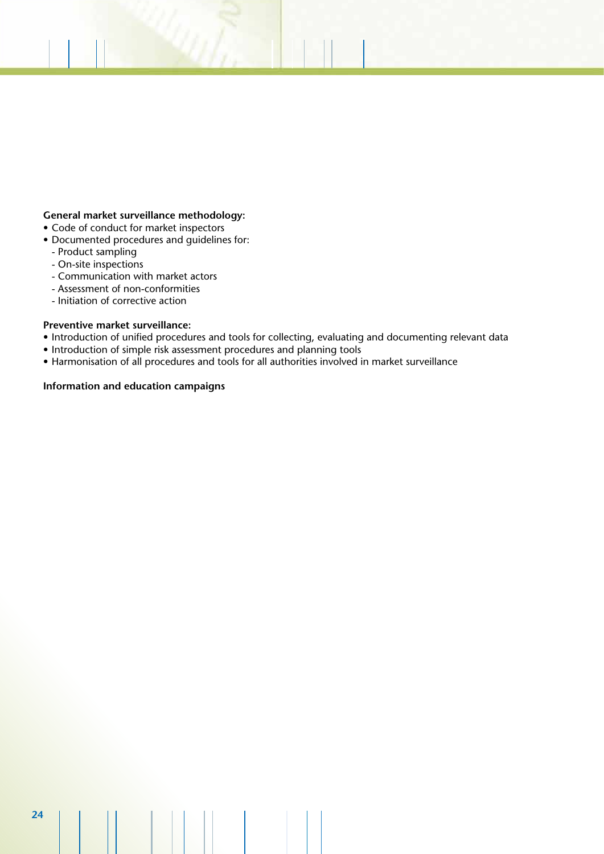### **General market surveillance methodology:**

- Code of conduct for market inspectors
- Documented procedures and guidelines for:
	- Product sampling
	- On-site inspections
	- Communication with market actors
	- Assessment of non-conformities
	- Initiation of corrective action

### **Preventive market surveillance:**

- Introduction of unified procedures and tools for collecting, evaluating and documenting relevant data
- Introduction of simple risk assessment procedures and planning tools
- Harmonisation of all procedures and tools for all authorities involved in market surveillance

### **Information and education campaigns**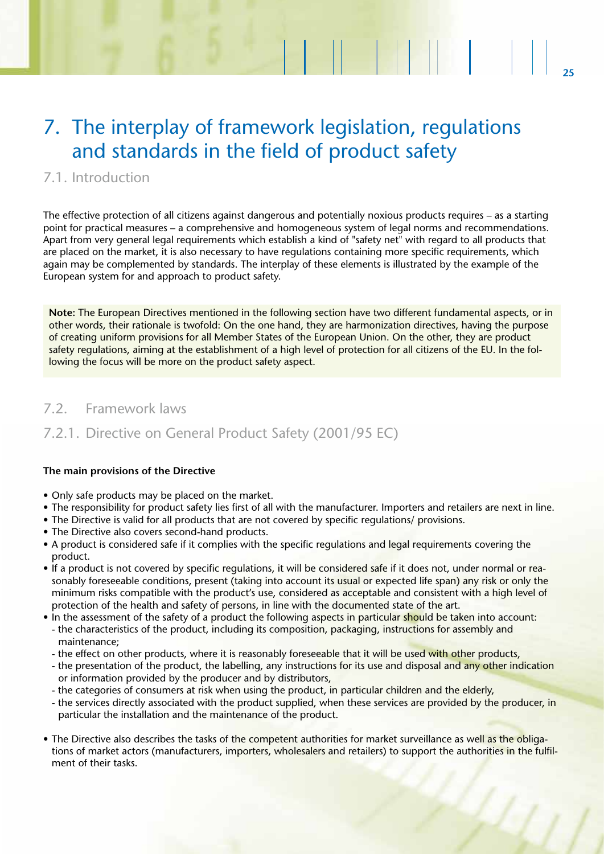# 7. The interplay of framework legislation, regulations and standards in the field of product safety

### 7.1. Introduction

The effective protection of all citizens against dangerous and potentially noxious products requires – as a starting point for practical measures – a comprehensive and homogeneous system of legal norms and recommendations. Apart from very general legal requirements which establish a kind of "safety net" with regard to all products that are placed on the market, it is also necessary to have regulations containing more specific requirements, which again may be complemented by standards. The interplay of these elements is illustrated by the example of the European system for and approach to product safety.

**Note:** The European Directives mentioned in the following section have two different fundamental aspects, or in other words, their rationale is twofold: On the one hand, they are harmonization directives, having the purpose of creating uniform provisions for all Member States of the European Union. On the other, they are product safety regulations, aiming at the establishment of a high level of protection for all citizens of the EU. In the following the focus will be more on the product safety aspect.

### 7.2. Framework laws

### 7.2.1. Directive on General Product Safety (2001/95 EC)

### **The main provisions of the Directive**

- Only safe products may be placed on the market.
- The responsibility for product safety lies first of all with the manufacturer. Importers and retailers are next in line.
- The Directive is valid for all products that are not covered by specific regulations/ provisions.
- The Directive also covers second-hand products.
- A product is considered safe if it complies with the specific regulations and legal requirements covering the product.
- If a product is not covered by specific regulations, it will be considered safe if it does not, under normal or reasonably foreseeable conditions, present (taking into account its usual or expected life span) any risk or only the minimum risks compatible with the product's use, considered as acceptable and consistent with a high level of protection of the health and safety of persons, in line with the documented state of the art.
- In the assessment of the safety of a product the following aspects in particular should be taken into account: - the characteristics of the product, including its composition, packaging, instructions for assembly and maintenance;
	- the effect on other products, where it is reasonably foreseeable that it will be used with other products,
	- the presentation of the product, the labelling, any instructions for its use and disposal and any other indication or information provided by the producer and by distributors,
	- the categories of consumers at risk when using the product, in particular children and the elderly,
	- the services directly associated with the product supplied, when these services are provided by the producer, in particular the installation and the maintenance of the product.
- The Directive also describes the tasks of the competent authorities for market surveillance as well as the obligations of market actors (manufacturers, importers, wholesalers and retailers) to support the authorities in the fulfilment of their tasks.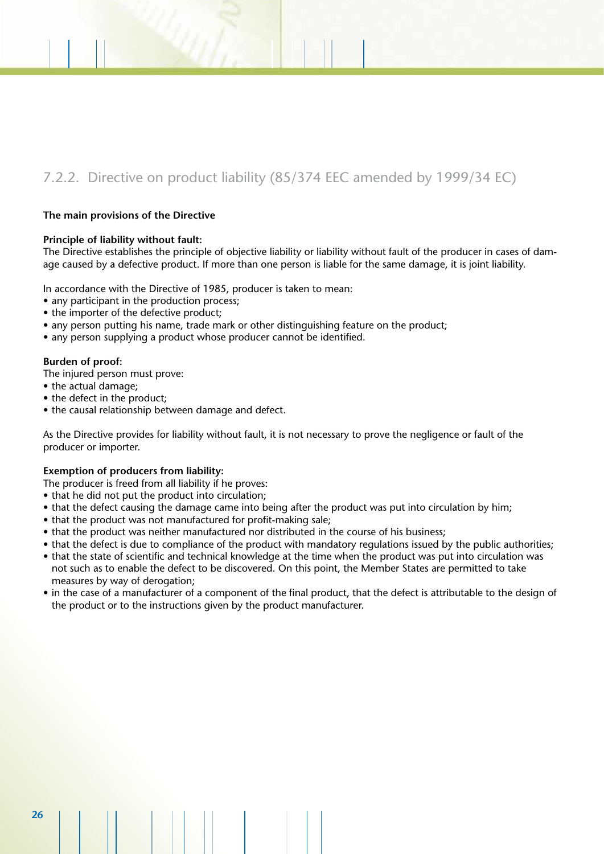### 7.2.2. Directive on product liability (85/374 EEC amended by 1999/34 EC)

### **The main provisions of the Directive**

#### **Principle of liability without fault:**

The Directive establishes the principle of objective liability or liability without fault of the producer in cases of damage caused by a defective product. If more than one person is liable for the same damage, it is joint liability.

In accordance with the Directive of 1985, producer is taken to mean:

- any participant in the production process;
- the importer of the defective product;
- any person putting his name, trade mark or other distinguishing feature on the product;
- any person supplying a product whose producer cannot be identified.

#### **Burden of proof:**

The injured person must prove:

- the actual damage;
- the defect in the product;
- the causal relationship between damage and defect.

As the Directive provides for liability without fault, it is not necessary to prove the negligence or fault of the producer or importer.

### **Exemption of producers from liability:**

The producer is freed from all liability if he proves:

- that he did not put the product into circulation:
- that the defect causing the damage came into being after the product was put into circulation by him;
- that the product was not manufactured for profit-making sale;
- that the product was neither manufactured nor distributed in the course of his business;
- that the defect is due to compliance of the product with mandatory regulations issued by the public authorities;
- that the state of scientific and technical knowledge at the time when the product was put into circulation was not such as to enable the defect to be discovered. On this point, the Member States are permitted to take measures by way of derogation;
- in the case of a manufacturer of a component of the final product, that the defect is attributable to the design of the product or to the instructions given by the product manufacturer.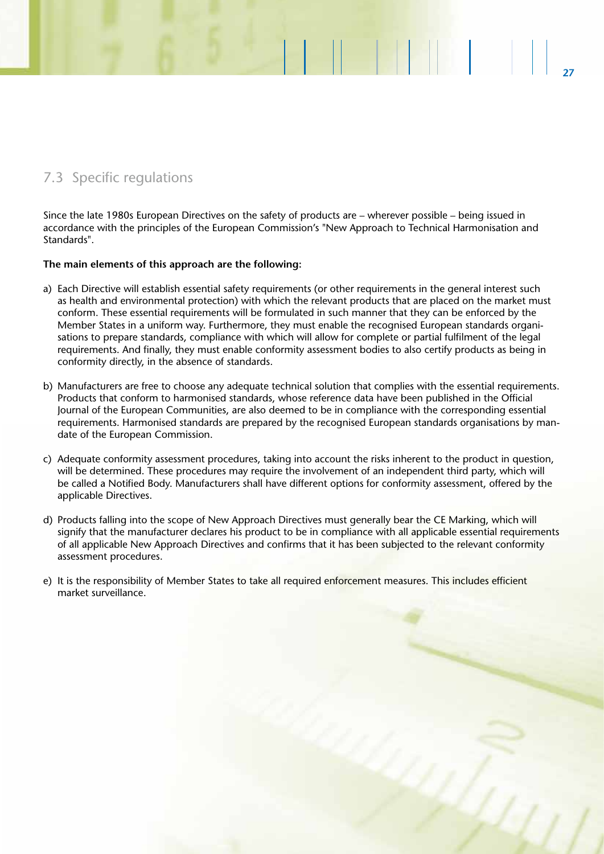### 7.3 Specific regulations

Since the late 1980s European Directives on the safety of products are – wherever possible – being issued in accordance with the principles of the European Commission's "New Approach to Technical Harmonisation and Standards".

**27**

**14 March 19** 

### **The main elements of this approach are the following:**

- a) Each Directive will establish essential safety requirements (or other requirements in the general interest such as health and environmental protection) with which the relevant products that are placed on the market must conform. These essential requirements will be formulated in such manner that they can be enforced by the Member States in a uniform way. Furthermore, they must enable the recognised European standards organisations to prepare standards, compliance with which will allow for complete or partial fulfilment of the legal requirements. And finally, they must enable conformity assessment bodies to also certify products as being in conformity directly, in the absence of standards.
- b) Manufacturers are free to choose any adequate technical solution that complies with the essential requirements. Products that conform to harmonised standards, whose reference data have been published in the Official Journal of the European Communities, are also deemed to be in compliance with the corresponding essential requirements. Harmonised standards are prepared by the recognised European standards organisations by mandate of the European Commission.
- c) Adequate conformity assessment procedures, taking into account the risks inherent to the product in question, will be determined. These procedures may require the involvement of an independent third party, which will be called a Notified Body. Manufacturers shall have different options for conformity assessment, offered by the applicable Directives.
- d) Products falling into the scope of New Approach Directives must generally bear the CE Marking, which will signify that the manufacturer declares his product to be in compliance with all applicable essential requirements of all applicable New Approach Directives and confirms that it has been subjected to the relevant conformity assessment procedures.
- e) It is the responsibility of Member States to take all required enforcement measures. This includes efficient market surveillance.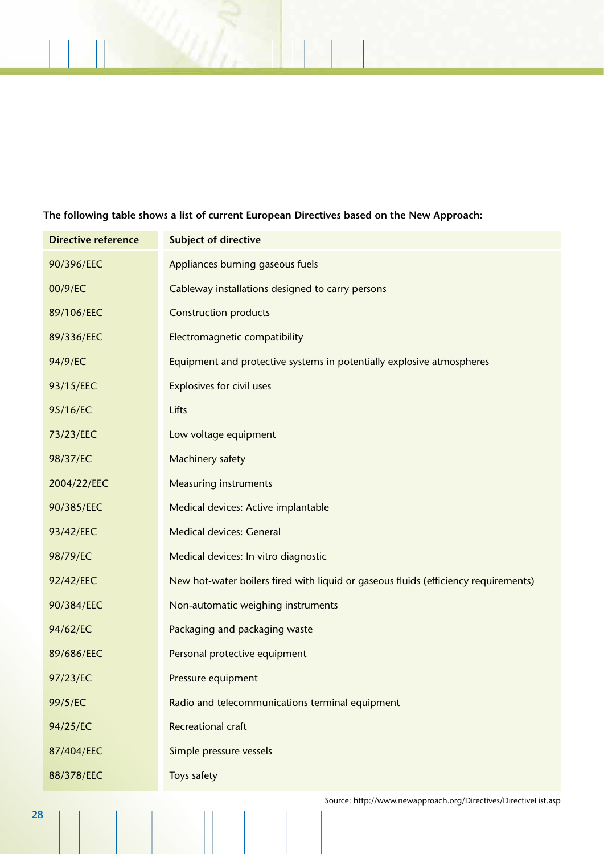### **The following table shows a list of current European Directives based on the New Approach:**

| <b>Directive reference</b> | <b>Subject of directive</b>                                                         |
|----------------------------|-------------------------------------------------------------------------------------|
| 90/396/EEC                 | Appliances burning gaseous fuels                                                    |
| 00/9/EC                    | Cableway installations designed to carry persons                                    |
| 89/106/EEC                 | <b>Construction products</b>                                                        |
| 89/336/EEC                 | Electromagnetic compatibility                                                       |
| 94/9/EC                    | Equipment and protective systems in potentially explosive atmospheres               |
| 93/15/EEC                  | <b>Explosives for civil uses</b>                                                    |
| 95/16/EC                   | Lifts                                                                               |
| 73/23/EEC                  | Low voltage equipment                                                               |
| 98/37/EC                   | Machinery safety                                                                    |
| 2004/22/EEC                | <b>Measuring instruments</b>                                                        |
| 90/385/EEC                 | Medical devices: Active implantable                                                 |
| 93/42/EEC                  | <b>Medical devices: General</b>                                                     |
| 98/79/EC                   | Medical devices: In vitro diagnostic                                                |
| 92/42/EEC                  | New hot-water boilers fired with liquid or gaseous fluids (efficiency requirements) |
| 90/384/EEC                 | Non-automatic weighing instruments                                                  |
| 94/62/EC                   | Packaging and packaging waste                                                       |
| 89/686/EEC                 | Personal protective equipment                                                       |
| 97/23/EC                   | Pressure equipment                                                                  |
| 99/5/EC                    | Radio and telecommunications terminal equipment                                     |
| 94/25/EC                   | <b>Recreational craft</b>                                                           |
| 87/404/EEC                 | Simple pressure vessels                                                             |
| 88/378/EEC                 | Toys safety                                                                         |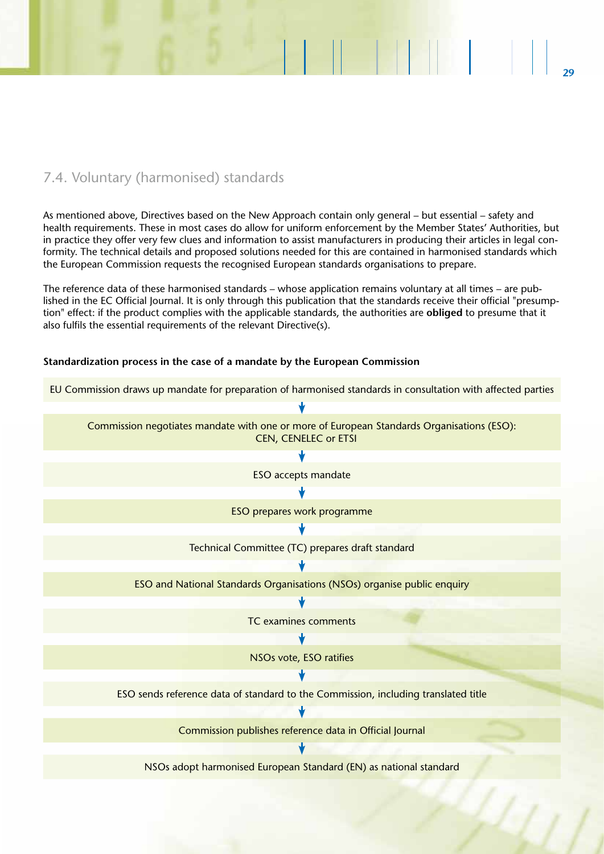### 7.4. Voluntary (harmonised) standards

As mentioned above, Directives based on the New Approach contain only general – but essential – safety and health requirements. These in most cases do allow for uniform enforcement by the Member States' Authorities, but in practice they offer very few clues and information to assist manufacturers in producing their articles in legal conformity. The technical details and proposed solutions needed for this are contained in harmonised standards which the European Commission requests the recognised European standards organisations to prepare.

The reference data of these harmonised standards – whose application remains voluntary at all times – are published in the EC Official Journal. It is only through this publication that the standards receive their official "presumption" effect: if the product complies with the applicable standards, the authorities are **obliged** to presume that it also fulfils the essential requirements of the relevant Directive(s).

### **Standardization process in the case of a mandate by the European Commission**

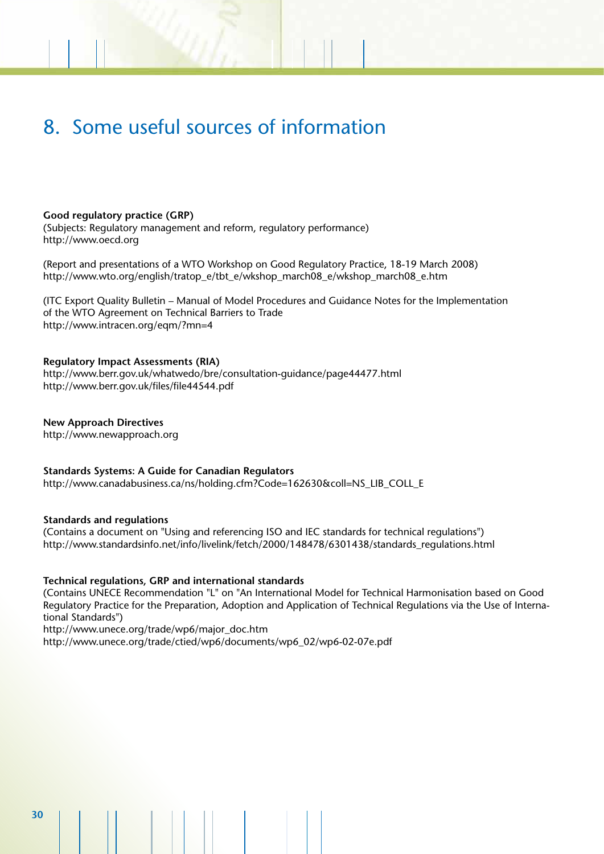# 8. Some useful sources of information

### **Good regulatory practice (GRP)**

(Subjects: Regulatory management and reform, regulatory performance) http://www.oecd.org

(Report and presentations of a WTO Workshop on Good Regulatory Practice, 18-19 March 2008) http://www.wto.org/english/tratop\_e/tbt\_e/wkshop\_march08\_e/wkshop\_march08\_e.htm

(ITC Export Quality Bulletin – Manual of Model Procedures and Guidance Notes for the Implementation of the WTO Agreement on Technical Barriers to Trade http://www.intracen.org/eqm/?mn=4

### **Regulatory Impact Assessments (RIA)**

http://www.berr.gov.uk/whatwedo/bre/consultation-guidance/page44477.html http://www.berr.gov.uk/files/file44544.pdf

**New Approach Directives** http://www.newapproach.org

**Standards Systems: A Guide for Canadian Regulators**

http://www.canadabusiness.ca/ns/holding.cfm?Code=162630&coll=NS\_LIB\_COLL\_E

### **Standards and regulations**

(Contains a document on "Using and referencing ISO and IEC standards for technical regulations") http://www.standardsinfo.net/info/livelink/fetch/2000/148478/6301438/standards\_regulations.html

### **Technical regulations, GRP and international standards**

(Contains UNECE Recommendation "L" on "An International Model for Technical Harmonisation based on Good Regulatory Practice for the Preparation, Adoption and Application of Technical Regulations via the Use of International Standards")

http://www.unece.org/trade/wp6/major\_doc.htm http://www.unece.org/trade/ctied/wp6/documents/wp6\_02/wp6-02-07e.pdf

**30**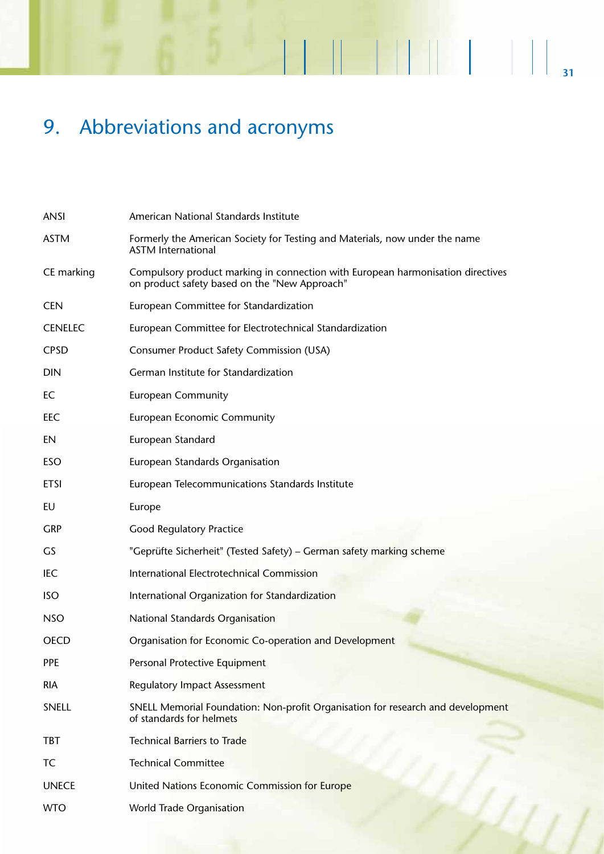# 9. Abbreviations and acronyms

| <b>ANSI</b>    | American National Standards Institute                                                                                            |
|----------------|----------------------------------------------------------------------------------------------------------------------------------|
| <b>ASTM</b>    | Formerly the American Society for Testing and Materials, now under the name<br><b>ASTM International</b>                         |
| CE marking     | Compulsory product marking in connection with European harmonisation directives<br>on product safety based on the "New Approach" |
| <b>CEN</b>     | European Committee for Standardization                                                                                           |
| <b>CENELEC</b> | European Committee for Electrotechnical Standardization                                                                          |
| <b>CPSD</b>    | <b>Consumer Product Safety Commission (USA)</b>                                                                                  |
| <b>DIN</b>     | German Institute for Standardization                                                                                             |
| EC             | <b>European Community</b>                                                                                                        |
| <b>EEC</b>     | <b>European Economic Community</b>                                                                                               |
| EN             | European Standard                                                                                                                |
| <b>ESO</b>     | European Standards Organisation                                                                                                  |
| <b>ETSI</b>    | European Telecommunications Standards Institute                                                                                  |
| EU             | Europe                                                                                                                           |
| <b>GRP</b>     | <b>Good Regulatory Practice</b>                                                                                                  |
| GS             | "Geprüfte Sicherheit" (Tested Safety) – German safety marking scheme                                                             |
| <b>IEC</b>     | International Electrotechnical Commission                                                                                        |
| <b>ISO</b>     | International Organization for Standardization                                                                                   |
| <b>NSO</b>     | National Standards Organisation                                                                                                  |
| <b>OECD</b>    | Organisation for Economic Co-operation and Development                                                                           |
| <b>PPE</b>     | Personal Protective Equipment                                                                                                    |
| <b>RIA</b>     | <b>Regulatory Impact Assessment</b>                                                                                              |
| SNELL          | SNELL Memorial Foundation: Non-profit Organisation for research and development<br>of standards for helmets                      |
| <b>TBT</b>     | <b>Technical Barriers to Trade</b>                                                                                               |
| TC             | <b>Technical Committee</b>                                                                                                       |
| <b>UNECE</b>   | United Nations Economic Commission for Europe                                                                                    |
| <b>WTO</b>     | World Trade Organisation                                                                                                         |

**31**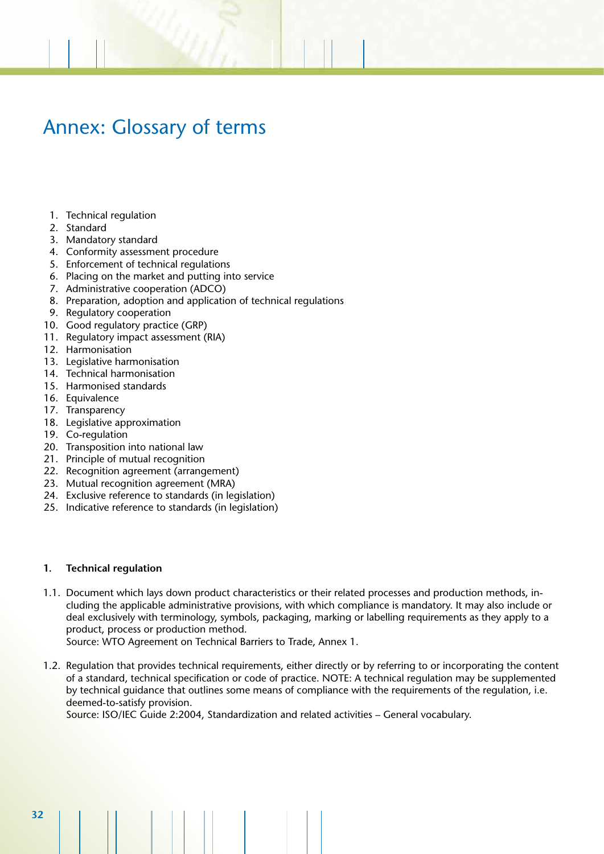# Annex: Glossary of terms

- 1. Technical regulation
- 2. Standard
- 3. Mandatory standard
- 4. Conformity assessment procedure
- 5. Enforcement of technical regulations
- 6. Placing on the market and putting into service
- 7. Administrative cooperation (ADCO)
- 8. Preparation, adoption and application of technical regulations
- 9. Regulatory cooperation
- 10. Good regulatory practice (GRP)
- 11. Regulatory impact assessment (RIA)
- 12. Harmonisation
- 13. Legislative harmonisation
- 14. Technical harmonisation
- 15. Harmonised standards
- 16. Equivalence
- 17. Transparency
- 18. Legislative approximation
- 19. Co-regulation
- 20. Transposition into national law
- 21. Principle of mutual recognition
- 22. Recognition agreement (arrangement)
- 23. Mutual recognition agreement (MRA)
- 24. Exclusive reference to standards (in legislation)
- 25. Indicative reference to standards (in legislation)

#### **1. Technical regulation**

1.1. Document which lays down product characteristics or their related processes and production methods, including the applicable administrative provisions, with which compliance is mandatory. It may also include or deal exclusively with terminology, symbols, packaging, marking or labelling requirements as they apply to a product, process or production method.

Source: WTO Agreement on Technical Barriers to Trade, Annex 1.

1.2. Regulation that provides technical requirements, either directly or by referring to or incorporating the content of a standard, technical specification or code of practice. NOTE: A technical regulation may be supplemented by technical guidance that outlines some means of compliance with the requirements of the regulation, i.e. deemed-to-satisfy provision.

Source: ISO/IEC Guide 2:2004, Standardization and related activities – General vocabulary.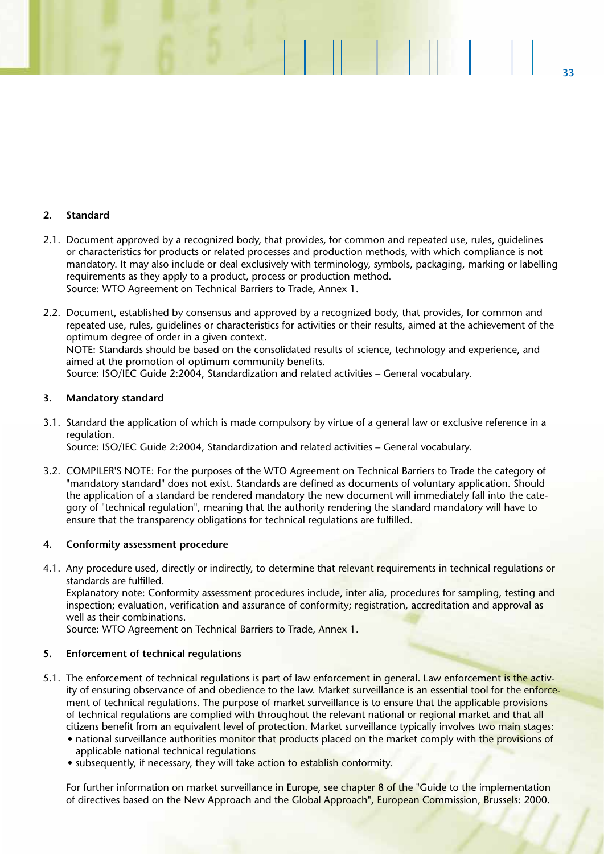### **2. Standard**

2.1. Document approved by a recognized body, that provides, for common and repeated use, rules, guidelines or characteristics for products or related processes and production methods, with which compliance is not mandatory. It may also include or deal exclusively with terminology, symbols, packaging, marking or labelling requirements as they apply to a product, process or production method. Source: WTO Agreement on Technical Barriers to Trade, Annex 1.

**33**

M SI L

2.2. Document, established by consensus and approved by a recognized body, that provides, for common and repeated use, rules, guidelines or characteristics for activities or their results, aimed at the achievement of the optimum degree of order in a given context. NOTE: Standards should be based on the consolidated results of science, technology and experience, and aimed at the promotion of optimum community benefits.

Source: ISO/IEC Guide 2:2004, Standardization and related activities – General vocabulary.

### **3. Mandatory standard**

- 3.1. Standard the application of which is made compulsory by virtue of a general law or exclusive reference in a regulation. Source: ISO/IEC Guide 2:2004, Standardization and related activities – General vocabulary.
- 3.2. COMPILER'S NOTE: For the purposes of the WTO Agreement on Technical Barriers to Trade the category of "mandatory standard" does not exist. Standards are defined as documents of voluntary application. Should the application of a standard be rendered mandatory the new document will immediately fall into the category of "technical regulation", meaning that the authority rendering the standard mandatory will have to ensure that the transparency obligations for technical regulations are fulfilled.

### **4. Conformity assessment procedure**

4.1. Any procedure used, directly or indirectly, to determine that relevant requirements in technical regulations or standards are fulfilled.

Explanatory note: Conformity assessment procedures include, inter alia, procedures for sampling, testing and inspection; evaluation, verification and assurance of conformity; registration, accreditation and approval as well as their combinations.

Source: WTO Agreement on Technical Barriers to Trade, Annex 1.

### **5. Enforcement of technical regulations**

- 5.1. The enforcement of technical regulations is part of law enforcement in general. Law enforcement is the activity of ensuring observance of and obedience to the law. Market surveillance is an essential tool for the enforcement of technical regulations. The purpose of market surveillance is to ensure that the applicable provisions of technical regulations are complied with throughout the relevant national or regional market and that all citizens benefit from an equivalent level of protection. Market surveillance typically involves two main stages:
	- national surveillance authorities monitor that products placed on the market comply with the provisions of applicable national technical regulations
	- subsequently, if necessary, they will take action to establish conformity.

For further information on market surveillance in Europe, see chapter 8 of the "Guide to the implementation of directives based on the New Approach and the Global Approach", European Commission, Brussels: 2000.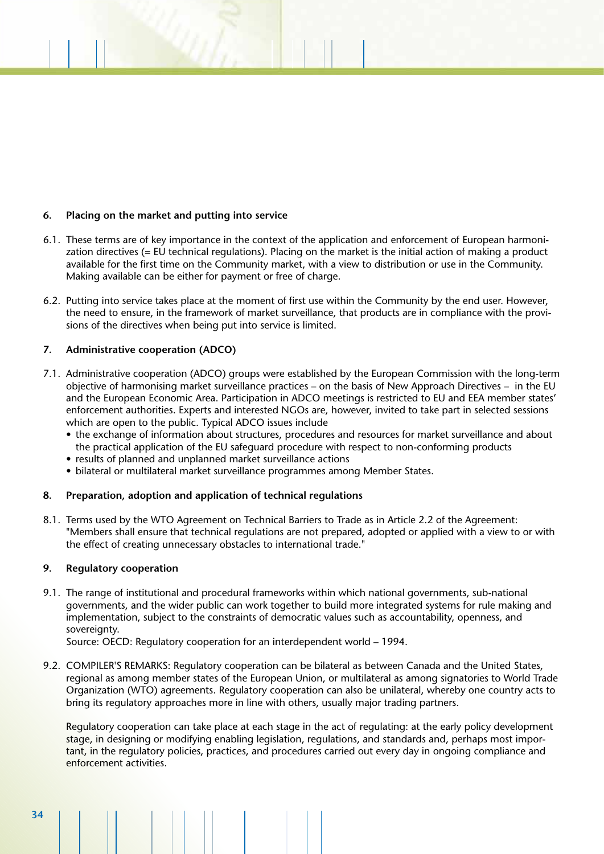### **6. Placing on the market and putting into service**

- 6.1. These terms are of key importance in the context of the application and enforcement of European harmonization directives (= EU technical regulations). Placing on the market is the initial action of making a product available for the first time on the Community market, with a view to distribution or use in the Community. Making available can be either for payment or free of charge.
- 6.2. Putting into service takes place at the moment of first use within the Community by the end user. However, the need to ensure, in the framework of market surveillance, that products are in compliance with the provisions of the directives when being put into service is limited.

### **7. Administrative cooperation (ADCO)**

- 7.1. Administrative cooperation (ADCO) groups were established by the European Commission with the long-term objective of harmonising market surveillance practices – on the basis of New Approach Directives – in the EU and the European Economic Area. Participation in ADCO meetings is restricted to EU and EEA member states' enforcement authorities. Experts and interested NGOs are, however, invited to take part in selected sessions which are open to the public. Typical ADCO issues include
	- the exchange of information about structures, procedures and resources for market surveillance and about the practical application of the EU safeguard procedure with respect to non-conforming products
	- results of planned and unplanned market surveillance actions
	- bilateral or multilateral market surveillance programmes among Member States.

### **8. Preparation, adoption and application of technical regulations**

8.1. Terms used by the WTO Agreement on Technical Barriers to Trade as in Article 2.2 of the Agreement: "Members shall ensure that technical regulations are not prepared, adopted or applied with a view to or with the effect of creating unnecessary obstacles to international trade."

### **9. Regulatory cooperation**

9.1. The range of institutional and procedural frameworks within which national governments, sub-national governments, and the wider public can work together to build more integrated systems for rule making and implementation, subject to the constraints of democratic values such as accountability, openness, and sovereignty.

Source: OECD: Regulatory cooperation for an interdependent world – 1994.

9.2. COMPILER'S REMARKS: Regulatory cooperation can be bilateral as between Canada and the United States, regional as among member states of the European Union, or multilateral as among signatories to World Trade Organization (WTO) agreements. Regulatory cooperation can also be unilateral, whereby one country acts to bring its regulatory approaches more in line with others, usually major trading partners.

Regulatory cooperation can take place at each stage in the act of regulating: at the early policy development stage, in designing or modifying enabling legislation, regulations, and standards and, perhaps most important, in the regulatory policies, practices, and procedures carried out every day in ongoing compliance and enforcement activities.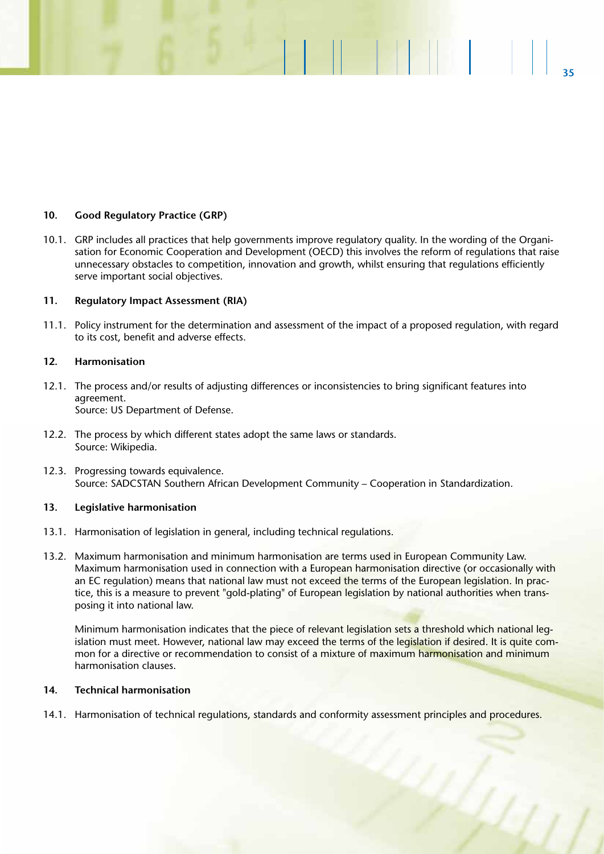### **10. Good Regulatory Practice (GRP)**

10.1. GRP includes all practices that help governments improve regulatory quality. In the wording of the Organisation for Economic Cooperation and Development (OECD) this involves the reform of regulations that raise unnecessary obstacles to competition, innovation and growth, whilst ensuring that regulations efficiently serve important social objectives.

**35**

**EN 1999** 

### **11. Regulatory Impact Assessment (RIA)**

11.1. Policy instrument for the determination and assessment of the impact of a proposed regulation, with regard to its cost, benefit and adverse effects.

### **12. Harmonisation**

- 12.1. The process and/or results of adjusting differences or inconsistencies to bring significant features into agreement. Source: US Department of Defense.
- 12.2. The process by which different states adopt the same laws or standards. Source: Wikipedia.
- 12.3. Progressing towards equivalence. Source: SADCSTAN Southern African Development Community – Cooperation in Standardization.

### **13. Legislative harmonisation**

- 13.1. Harmonisation of legislation in general, including technical regulations.
- 13.2. Maximum harmonisation and minimum harmonisation are terms used in European Community Law. Maximum harmonisation used in connection with a European harmonisation directive (or occasionally with an EC regulation) means that national law must not exceed the terms of the European legislation. In practice, this is a measure to prevent "gold-plating" of European legislation by national authorities when transposing it into national law.

Minimum harmonisation indicates that the piece of relevant legislation sets a threshold which national legislation must meet. However, national law may exceed the terms of the legislation if desired. It is quite common for a directive or recommendation to consist of a mixture of maximum harmonisation and minimum harmonisation clauses.

### **14. Technical harmonisation**

14.1. Harmonisation of technical regulations, standards and conformity assessment principles and procedures.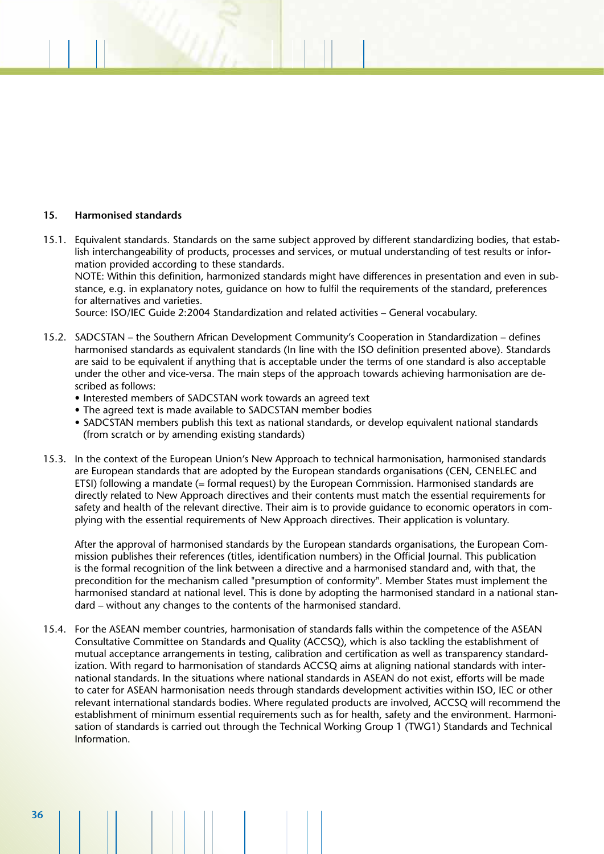### **15. Harmonised standards**

15.1. Equivalent standards. Standards on the same subject approved by different standardizing bodies, that establish interchangeability of products, processes and services, or mutual understanding of test results or information provided according to these standards. NOTE: Within this definition, harmonized standards might have differences in presentation and even in substance, e.g. in explanatory notes, guidance on how to fulfil the requirements of the standard, preferences for alternatives and varieties.

Source: ISO/IEC Guide 2:2004 Standardization and related activities – General vocabulary.

- 15.2. SADCSTAN the Southern African Development Community's Cooperation in Standardization defines harmonised standards as equivalent standards (In line with the ISO definition presented above). Standards are said to be equivalent if anything that is acceptable under the terms of one standard is also acceptable under the other and vice-versa. The main steps of the approach towards achieving harmonisation are described as follows:
	- Interested members of SADCSTAN work towards an agreed text
	- The agreed text is made available to SADCSTAN member bodies
	- SADCSTAN members publish this text as national standards, or develop equivalent national standards (from scratch or by amending existing standards)
- 15.3. In the context of the European Union's New Approach to technical harmonisation, harmonised standards are European standards that are adopted by the European standards organisations (CEN, CENELEC and ETSI) following a mandate (= formal request) by the European Commission. Harmonised standards are directly related to New Approach directives and their contents must match the essential requirements for safety and health of the relevant directive. Their aim is to provide guidance to economic operators in complying with the essential requirements of New Approach directives. Their application is voluntary.

After the approval of harmonised standards by the European standards organisations, the European Commission publishes their references (titles, identification numbers) in the Official Journal. This publication is the formal recognition of the link between a directive and a harmonised standard and, with that, the precondition for the mechanism called "presumption of conformity". Member States must implement the harmonised standard at national level. This is done by adopting the harmonised standard in a national standard – without any changes to the contents of the harmonised standard.

15.4. For the ASEAN member countries, harmonisation of standards falls within the competence of the ASEAN Consultative Committee on Standards and Quality (ACCSQ), which is also tackling the establishment of mutual acceptance arrangements in testing, calibration and certification as well as transparency standardization. With regard to harmonisation of standards ACCSQ aims at aligning national standards with international standards. In the situations where national standards in ASEAN do not exist, efforts will be made to cater for ASEAN harmonisation needs through standards development activities within ISO, IEC or other relevant international standards bodies. Where regulated products are involved, ACCSQ will recommend the establishment of minimum essential requirements such as for health, safety and the environment. Harmonisation of standards is carried out through the Technical Working Group 1 (TWG1) Standards and Technical Information.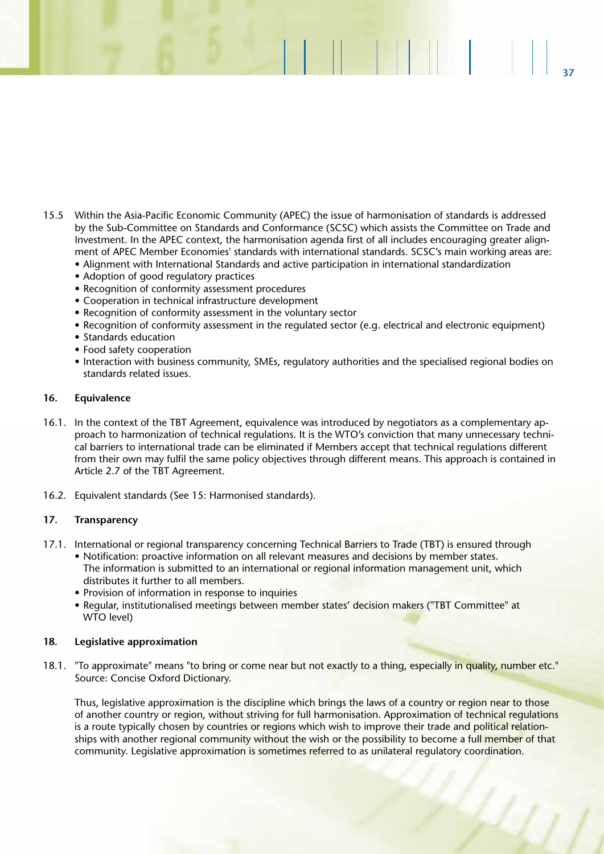15.5 Within the Asia-Pacific Economic Community (APEC) the issue of harmonisation of standards is addressed by the Sub-Committee on Standards and Conformance (SCSC) which assists the Committee on Trade and Investment. In the APEC context, the harmonisation agenda first of all includes encouraging greater alignment of APEC Member Economies' standards with international standards. SCSC's main working areas are:

**37**

 $|| \cdot ||$ 

- Alignment with International Standards and active participation in international standardization
- Adoption of good regulatory practices
- Recognition of conformity assessment procedures
- Cooperation in technical infrastructure development
- Recognition of conformity assessment in the voluntary sector
- Recognition of conformity assessment in the regulated sector (e.g. electrical and electronic equipment)
- Standards education
- Food safety cooperation
- Interaction with business community, SMEs, regulatory authorities and the specialised regional bodies on standards related issues.

### **16. Equivalence**

- 16.1. In the context of the TBT Agreement, equivalence was introduced by negotiators as a complementary approach to harmonization of technical regulations. It is the WTO's conviction that many unnecessary technical barriers to international trade can be eliminated if Members accept that technical regulations different from their own may fulfil the same policy objectives through different means. This approach is contained in Article 2.7 of the TBT Agreement.
- 16.2. Equivalent standards (See 15: Harmonised standards).

### **17. Transparency**

- 17.1. International or regional transparency concerning Technical Barriers to Trade (TBT) is ensured through
	- Notification: proactive information on all relevant measures and decisions by member states. The information is submitted to an international or regional information management unit, which distributes it further to all members.
	- Provision of information in response to inquiries
	- Regular, institutionalised meetings between member states' decision makers ("TBT Committee" at WTO level)

### **18. Legislative approximation**

18.1. "To approximate" means "to bring or come near but not exactly to a thing, especially in quality, number etc." Source: Concise Oxford Dictionary.

Thus, legislative approximation is the discipline which brings the laws of a country or region near to those of another country or region, without striving for full harmonisation. Approximation of technical regulations is a route typically chosen by countries or regions which wish to improve their trade and political relationships with another regional community without the wish or the possibility to become a full member of that community. Legislative approximation is sometimes referred to as unilateral regulatory coordination.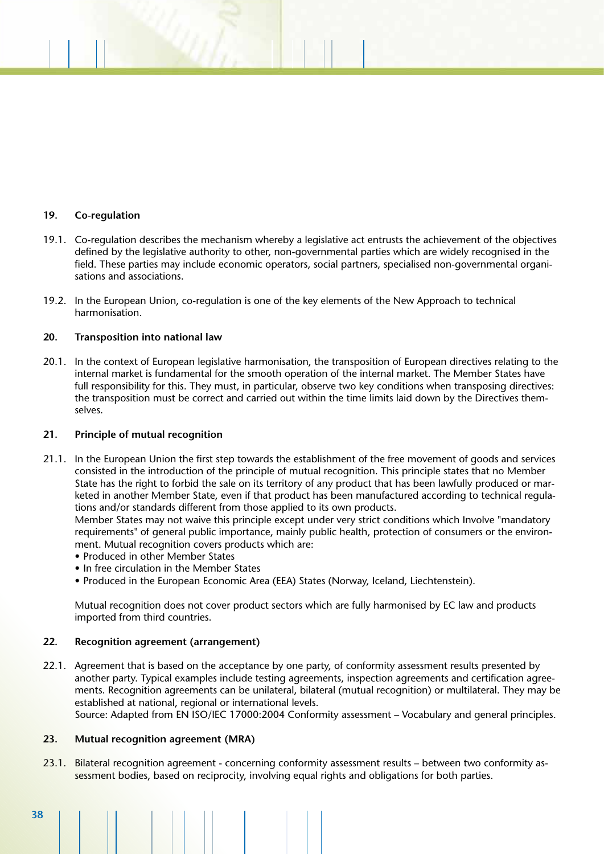### **19. Co-regulation**

- 19.1. Co-regulation describes the mechanism whereby a legislative act entrusts the achievement of the objectives defined by the legislative authority to other, non-governmental parties which are widely recognised in the field. These parties may include economic operators, social partners, specialised non-governmental organisations and associations.
- 19.2. In the European Union, co-regulation is one of the key elements of the New Approach to technical harmonisation.

### **20. Transposition into national law**

20.1. In the context of European legislative harmonisation, the transposition of European directives relating to the internal market is fundamental for the smooth operation of the internal market. The Member States have full responsibility for this. They must, in particular, observe two key conditions when transposing directives: the transposition must be correct and carried out within the time limits laid down by the Directives themselves.

### **21. Principle of mutual recognition**

21.1. In the European Union the first step towards the establishment of the free movement of goods and services consisted in the introduction of the principle of mutual recognition. This principle states that no Member State has the right to forbid the sale on its territory of any product that has been lawfully produced or marketed in another Member State, even if that product has been manufactured according to technical regulations and/or standards different from those applied to its own products.

Member States may not waive this principle except under very strict conditions which Involve "mandatory requirements" of general public importance, mainly public health, protection of consumers or the environment. Mutual recognition covers products which are:

- Produced in other Member States
- In free circulation in the Member States
- Produced in the European Economic Area (EEA) States (Norway, Iceland, Liechtenstein).

Mutual recognition does not cover product sectors which are fully harmonised by EC law and products imported from third countries.

### **22. Recognition agreement (arrangement)**

22.1. Agreement that is based on the acceptance by one party, of conformity assessment results presented by another party. Typical examples include testing agreements, inspection agreements and certification agreements. Recognition agreements can be unilateral, bilateral (mutual recognition) or multilateral. They may be established at national, regional or international levels.

Source: Adapted from EN ISO/IEC 17000:2004 Conformity assessment – Vocabulary and general principles.

### **23. Mutual recognition agreement (MRA)**

23.1. Bilateral recognition agreement - concerning conformity assessment results – between two conformity assessment bodies, based on reciprocity, involving equal rights and obligations for both parties.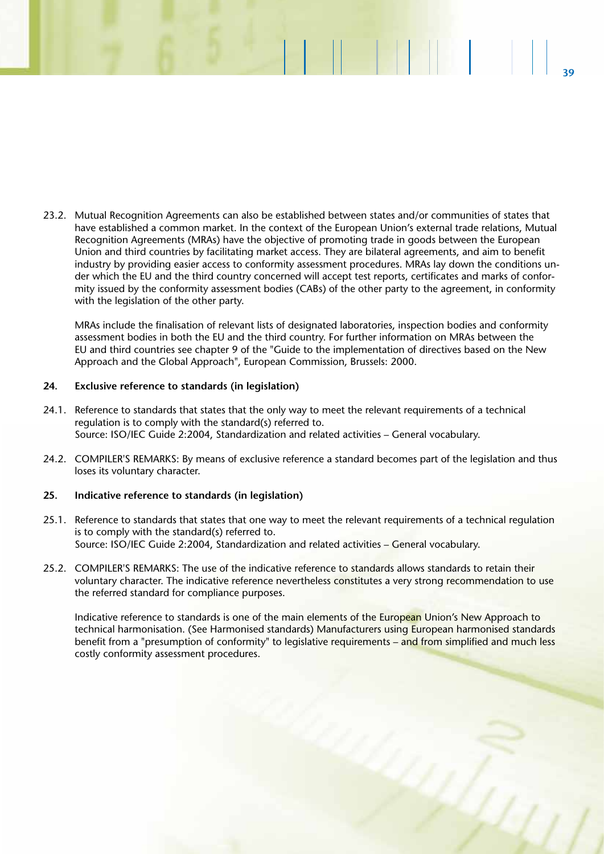23.2. Mutual Recognition Agreements can also be established between states and/or communities of states that have established a common market. In the context of the European Union's external trade relations, Mutual Recognition Agreements (MRAs) have the objective of promoting trade in goods between the European Union and third countries by facilitating market access. They are bilateral agreements, and aim to benefit industry by providing easier access to conformity assessment procedures. MRAs lay down the conditions under which the EU and the third country concerned will accept test reports, certificates and marks of conformity issued by the conformity assessment bodies (CABs) of the other party to the agreement, in conformity with the legislation of the other party.

**39**

**BER 1999** 

MRAs include the finalisation of relevant lists of designated laboratories, inspection bodies and conformity assessment bodies in both the EU and the third country. For further information on MRAs between the EU and third countries see chapter 9 of the "Guide to the implementation of directives based on the New Approach and the Global Approach", European Commission, Brussels: 2000.

### **24. Exclusive reference to standards (in legislation)**

- 24.1. Reference to standards that states that the only way to meet the relevant requirements of a technical regulation is to comply with the standard(s) referred to. Source: ISO/IEC Guide 2:2004, Standardization and related activities – General vocabulary.
- 24.2. COMPILER'S REMARKS: By means of exclusive reference a standard becomes part of the legislation and thus loses its voluntary character.

### **25. Indicative reference to standards (in legislation)**

- 25.1. Reference to standards that states that one way to meet the relevant requirements of a technical regulation is to comply with the standard(s) referred to. Source: ISO/IEC Guide 2:2004, Standardization and related activities – General vocabulary.
- 25.2. COMPILER'S REMARKS: The use of the indicative reference to standards allows standards to retain their voluntary character. The indicative reference nevertheless constitutes a very strong recommendation to use the referred standard for compliance purposes.

Indicative reference to standards is one of the main elements of the European Union's New Approach to technical harmonisation. (See Harmonised standards) Manufacturers using European harmonised standards benefit from a "presumption of conformity" to legislative requirements – and from simplified and much less costly conformity assessment procedures.